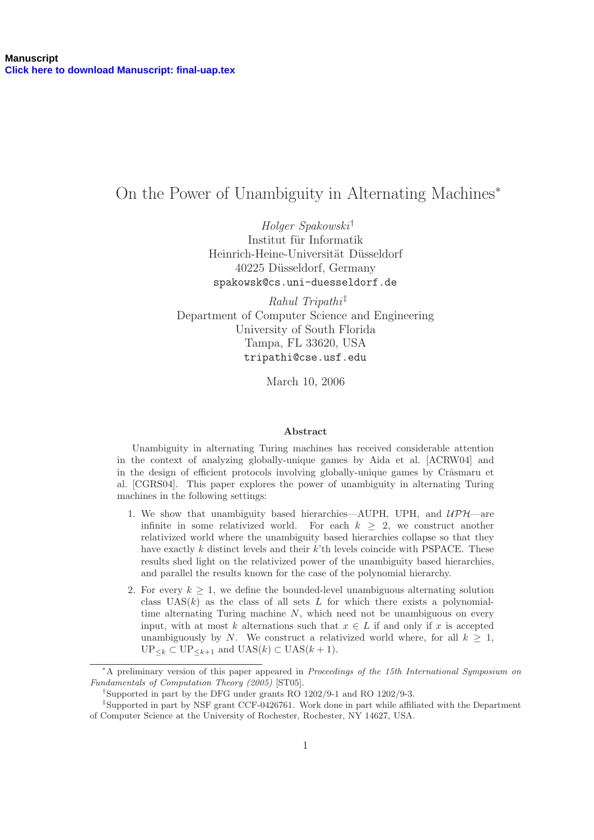# On the Power of Unambiguity in Alternating Machines<sup>∗</sup>

Holger Spakowski † Institut für Informatik Heinrich-Heine-Universität Düsseldorf 40225 Düsseldorf, Germany spakowsk@cs.uni-duesseldorf.de

 $Rahul Tripathi<sup>‡</sup>$ Department of Computer Science and Engineering University of South Florida Tampa, FL 33620, USA tripathi@cse.usf.edu

March 10, 2006

#### Abstract

Unambiguity in alternating Turing machines has received considerable attention in the context of analyzing globally-unique games by Aida et al. [ACRW04] and in the design of efficient protocols involving globally-unique games by Crâsmaru et al. [CGRS04]. This paper explores the power of unambiguity in alternating Turing machines in the following settings:

- 1. We show that unambiguity based hierarchies—AUPH, UPH, and  $\mathcal{UPH}-$ are infinite in some relativized world. For each  $k \geq 2$ , we construct another relativized world where the unambiguity based hierarchies collapse so that they have exactly  $k$  distinct levels and their  $k$ 'th levels coincide with PSPACE. These results shed light on the relativized power of the unambiguity based hierarchies, and parallel the results known for the case of the polynomial hierarchy.
- 2. For every  $k \geq 1$ , we define the bounded-level unambiguous alternating solution class  $UAS(k)$  as the class of all sets L for which there exists a polynomialtime alternating Turing machine  $N$ , which need not be unambiguous on every input, with at most k alternations such that  $x \in L$  if and only if x is accepted unambiguously by N. We construct a relativized world where, for all  $k \geq 1$ ,  $\text{UP}_{\leq k} \subset \text{UP}_{\leq k+1}$  and  $\text{UAS}(k) \subset \text{UAS}(k+1)$ .

<sup>∗</sup>A preliminary version of this paper appeared in Proceedings of the 15th International Symposium on Fundamentals of Computation Theory (2005) [ST05].

<sup>†</sup> Supported in part by the DFG under grants RO 1202/9-1 and RO 1202/9-3.

<sup>‡</sup> Supported in part by NSF grant CCF-0426761. Work done in part while affiliated with the Department of Computer Science at the University of Rochester, Rochester, NY 14627, USA.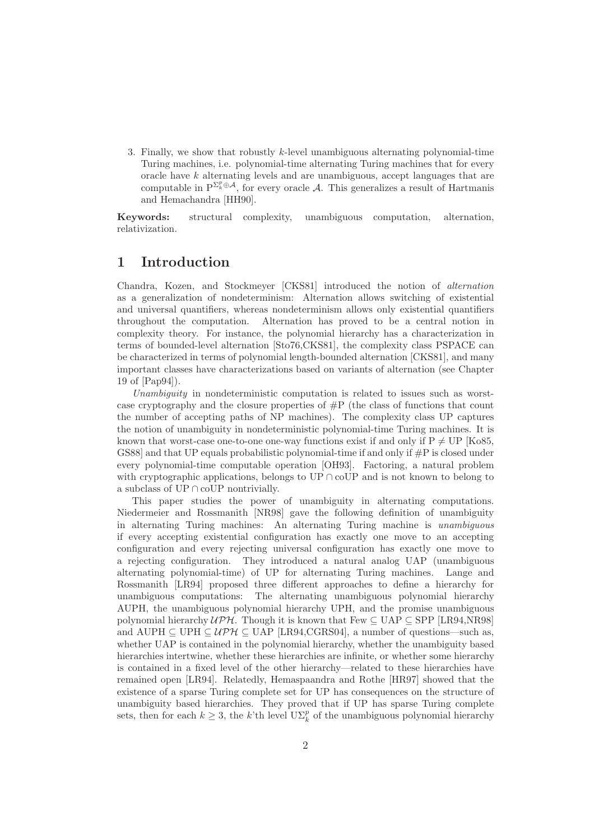3. Finally, we show that robustly k-level unambiguous alternating polynomial-time Turing machines, i.e. polynomial-time alternating Turing machines that for every oracle have  $k$  alternating levels and are unambiguous, accept languages that are computable in  $P^{\sum_k^p \oplus A}$ , for every oracle A. This generalizes a result of Hartmanis and Hemachandra [HH90].

Keywords: structural complexity, unambiguous computation, alternation, relativization.

### 1 Introduction

Chandra, Kozen, and Stockmeyer [CKS81] introduced the notion of alternation as a generalization of nondeterminism: Alternation allows switching of existential and universal quantifiers, whereas nondeterminism allows only existential quantifiers throughout the computation. Alternation has proved to be a central notion in complexity theory. For instance, the polynomial hierarchy has a characterization in terms of bounded-level alternation [Sto76,CKS81], the complexity class PSPACE can be characterized in terms of polynomial length-bounded alternation [CKS81], and many important classes have characterizations based on variants of alternation (see Chapter 19 of [Pap94]).

Unambiguity in nondeterministic computation is related to issues such as worstcase cryptography and the closure properties of  $\#P$  (the class of functions that count the number of accepting paths of NP machines). The complexity class UP captures the notion of unambiguity in nondeterministic polynomial-time Turing machines. It is known that worst-case one-to-one one-way functions exist if and only if  $P \neq UP$  [Ko85, GS88] and that UP equals probabilistic polynomial-time if and only if  $\#P$  is closed under every polynomial-time computable operation [OH93]. Factoring, a natural problem with cryptographic applications, belongs to UP  $\cap$  coUP and is not known to belong to a subclass of  $UP \cap coUP$  nontrivially.

This paper studies the power of unambiguity in alternating computations. Niedermeier and Rossmanith [NR98] gave the following definition of unambiguity in alternating Turing machines: An alternating Turing machine is unambiguous if every accepting existential configuration has exactly one move to an accepting configuration and every rejecting universal configuration has exactly one move to a rejecting configuration. They introduced a natural analog UAP (unambiguous alternating polynomial-time) of UP for alternating Turing machines. Lange and Rossmanith [LR94] proposed three different approaches to define a hierarchy for unambiguous computations: The alternating unambiguous polynomial hierarchy AUPH, the unambiguous polynomial hierarchy UPH, and the promise unambiguous polynomial hierarchy  $\mathcal{UPH}$ . Though it is known that Few  $\subseteq$  UAP  $\subseteq$  SPP [LR94,NR98] and AUPH  $\subseteq$  UPH  $\subseteq$  UPH  $\subseteq$  UAP [LR94, GGRS04], a number of questions—such as, whether UAP is contained in the polynomial hierarchy, whether the unambiguity based hierarchies intertwine, whether these hierarchies are infinite, or whether some hierarchy is contained in a fixed level of the other hierarchy—related to these hierarchies have remained open [LR94]. Relatedly, Hemaspaandra and Rothe [HR97] showed that the existence of a sparse Turing complete set for UP has consequences on the structure of unambiguity based hierarchies. They proved that if UP has sparse Turing complete sets, then for each  $k \geq 3$ , the k'th level  $\mathrm{U}\Sigma_k^p$  of the unambiguous polynomial hierarchy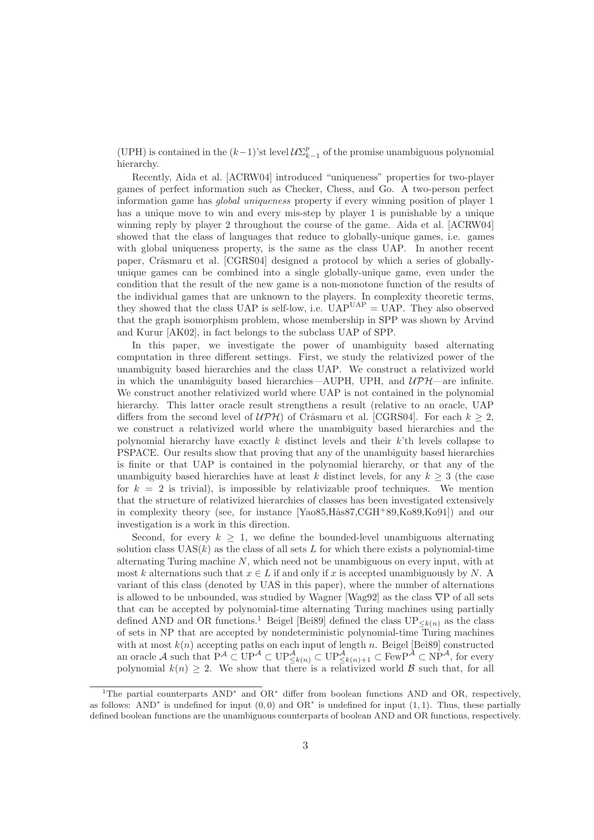(UPH) is contained in the  $(k-1)$ 'st level  $\mathcal{U}\Sigma_{k-1}^p$  of the promise unambiguous polynomial hierarchy.

Recently, Aida et al. [ACRW04] introduced "uniqueness" properties for two-player games of perfect information such as Checker, Chess, and Go. A two-person perfect information game has global uniqueness property if every winning position of player 1 has a unique move to win and every mis-step by player 1 is punishable by a unique winning reply by player 2 throughout the course of the game. Aida et al. [ACRW04] showed that the class of languages that reduce to globally-unique games, i.e. games with global uniqueness property, is the same as the class UAP. In another recent paper, Crâsmaru et al. [CGRS04] designed a protocol by which a series of globallyunique games can be combined into a single globally-unique game, even under the condition that the result of the new game is a non-monotone function of the results of the individual games that are unknown to the players. In complexity theoretic terms, they showed that the class UAP is self-low, i.e.  $\text{UAP}^{\text{UAP}} = \text{UAP}$ . They also observed that the graph isomorphism problem, whose membership in SPP was shown by Arvind and Kurur [AK02], in fact belongs to the subclass UAP of SPP.

In this paper, we investigate the power of unambiguity based alternating computation in three different settings. First, we study the relativized power of the unambiguity based hierarchies and the class UAP. We construct a relativized world in which the unambiguity based hierarchies—AUPH, UPH, and  $\mathcal{UPH}$ —are infinite. We construct another relativized world where UAP is not contained in the polynomial hierarchy. This latter oracle result strengthens a result (relative to an oracle, UAP differs from the second level of  $\mathcal{UPH}$ ) of Crâsmaru et al. [CGRS04]. For each  $k \geq 2$ . we construct a relativized world where the unambiguity based hierarchies and the polynomial hierarchy have exactly  $k$  distinct levels and their  $k$ 'th levels collapse to PSPACE. Our results show that proving that any of the unambiguity based hierarchies is finite or that UAP is contained in the polynomial hierarchy, or that any of the unambiguity based hierarchies have at least k distinct levels, for any  $k \geq 3$  (the case for  $k = 2$  is trivial), is impossible by relativizable proof techniques. We mention that the structure of relativized hierarchies of classes has been investigated extensively in complexity theory (see, for instance  $[Ya\omega85,H\ddot{a}887,CGH^+89,K\omega89,K\omega91]$ ) and our investigation is a work in this direction.

Second, for every  $k \geq 1$ , we define the bounded-level unambiguous alternating solution class  $UAS(k)$  as the class of all sets L for which there exists a polynomial-time alternating Turing machine  $N$ , which need not be unambiguous on every input, with at most k alternations such that  $x \in L$  if and only if x is accepted unambiguously by N. A variant of this class (denoted by UAS in this paper), where the number of alternations is allowed to be unbounded, was studied by Wagner [Wag92] as the class ∇P of all sets that can be accepted by polynomial-time alternating Turing machines using partially defined AND and OR functions.<sup>1</sup> Beigel [Bei89] defined the class  $UP_{\leq k(n)}$  as the class of sets in NP that are accepted by nondeterministic polynomial-time Turing machines with at most  $k(n)$  accepting paths on each input of length n. Beigel [Bei89] constructed an oracle A such that  $P^{\mathcal{A}} \subset UP^{\mathcal{A}} \subset UP^{\mathcal{A}}_{\leq k(n)} \subset UP^{\mathcal{A}}_{\leq k(n)+1} \subset \text{FewP}^{\mathcal{A}} \subset NP^{\mathcal{A}}$ , for every polynomial  $k(n) \geq 2$ . We show that there is a relativized world  $\mathcal{B}$  such that, for all

<sup>&</sup>lt;sup>1</sup>The partial counterparts AND<sup>∗</sup> and OR<sup>∗</sup> differ from boolean functions AND and OR, respectively, as follows: AND<sup>∗</sup> is undefined for input  $(0,0)$  and OR<sup>∗</sup> is undefined for input  $(1,1)$ . Thus, these partially defined boolean functions are the unambiguous counterparts of boolean AND and OR functions, respectively.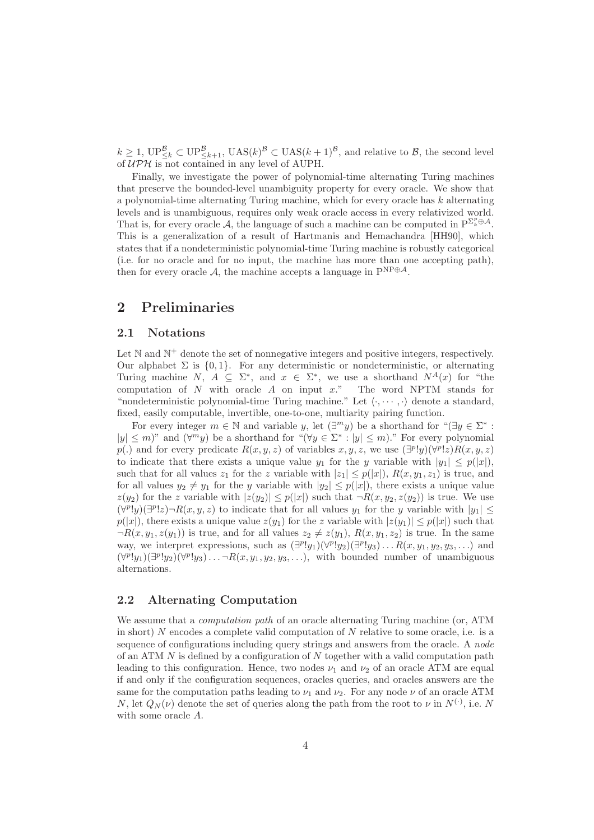$k \geq 1$ ,  $\mathbf{UP}_{\leq k}^{\mathcal{B}} \subset \mathbf{UP}_{\leq k+1}^{\mathcal{B}}, \ \mathbf{UAS}(k)^{\mathcal{B}} \subset \mathbf{UAS}(k+1)^{\mathcal{B}}, \ \text{and relative to } \mathcal{B}, \ \text{the second level}$ of  $\mathcal{UPH}$  is not contained in any level of AUPH.

Finally, we investigate the power of polynomial-time alternating Turing machines that preserve the bounded-level unambiguity property for every oracle. We show that a polynomial-time alternating Turing machine, which for every oracle has  $k$  alternating levels and is unambiguous, requires only weak oracle access in every relativized world. That is, for every oracle A, the language of such a machine can be computed in  $P^{\Sigma_k^p \oplus A}$ . This is a generalization of a result of Hartmanis and Hemachandra [HH90], which states that if a nondeterministic polynomial-time Turing machine is robustly categorical (i.e. for no oracle and for no input, the machine has more than one accepting path), then for every oracle A, the machine accepts a language in  $P^{NP\oplus A}$ .

### 2 Preliminaries

#### 2.1 Notations

Let  $\mathbb N$  and  $\mathbb N^+$  denote the set of nonnegative integers and positive integers, respectively. Our alphabet  $\Sigma$  is  $\{0, 1\}$ . For any deterministic or nondeterministic, or alternating Turing machine N,  $A \subseteq \Sigma^*$ , and  $x \in \Sigma^*$ , we use a shorthand  $N^A(x)$  for "the computation of  $N$  with oracle  $A$  on input  $x$ ." The word NPTM stands for "nondeterministic polynomial-time Turing machine." Let  $\langle \cdot, \cdots, \cdot \rangle$  denote a standard, fixed, easily computable, invertible, one-to-one, multiarity pairing function.

For every integer  $m \in \mathbb{N}$  and variable y, let  $(\exists^m y)$  be a shorthand for " $(\exists y \in \Sigma^*$ :  $|y| \leq m$ )" and  $(\forall^m y)$  be a shorthand for " $(\forall y \in \Sigma^* : |y| \leq m)$ ." For every polynomial p(.) and for every predicate  $R(x, y, z)$  of variables  $x, y, z$ , we use  $(\exists^p!y)(\forall^p!z)R(x, y, z)$ to indicate that there exists a unique value  $y_1$  for the y variable with  $|y_1| \leq p(|x|)$ , such that for all values  $z_1$  for the z variable with  $|z_1| \leq p(|x|)$ ,  $R(x, y_1, z_1)$  is true, and for all values  $y_2 \neq y_1$  for the y variable with  $|y_2| \leq p(|x|)$ , there exists a unique value  $z(y_2)$  for the z variable with  $|z(y_2)| \leq p(|x|)$  such that  $\neg R(x, y_2, z(y_2))$  is true. We use  $(\forall^p! y)(\exists^p! z)\neg R(x,y,z)$  to indicate that for all values  $y_1$  for the y variable with  $|y_1|\leq$  $p(|x|)$ , there exists a unique value  $z(y_1)$  for the z variable with  $|z(y_1)| \leq p(|x|)$  such that  $\neg R(x, y_1, z(y_1))$  is true, and for all values  $z_2 \neq z(y_1)$ ,  $R(x, y_1, z_2)$  is true. In the same way, we interpret expressions, such as  $(\exists^p!y_1)(\forall^p!y_2)(\exists^p!y_3)...R(x,y_1,y_2,y_3,...)$  and  $(\forall^p! y_1)(\exists^p! y_2)(\forall^p! y_3)\ldots \neg R(x, y_1, y_2, y_3, \ldots)$ , with bounded number of unambiguous alternations.

#### 2.2 Alternating Computation

We assume that a *computation path* of an oracle alternating Turing machine (or, ATM in short)  $N$  encodes a complete valid computation of  $N$  relative to some oracle, i.e. is a sequence of configurations including query strings and answers from the oracle. A *node* of an ATM  $N$  is defined by a configuration of  $N$  together with a valid computation path leading to this configuration. Hence, two nodes  $\nu_1$  and  $\nu_2$  of an oracle ATM are equal if and only if the configuration sequences, oracles queries, and oracles answers are the same for the computation paths leading to  $\nu_1$  and  $\nu_2$ . For any node  $\nu$  of an oracle ATM N, let  $Q_N(\nu)$  denote the set of queries along the path from the root to  $\nu$  in  $N^{(\cdot)}$ , i.e. N with some oracle A.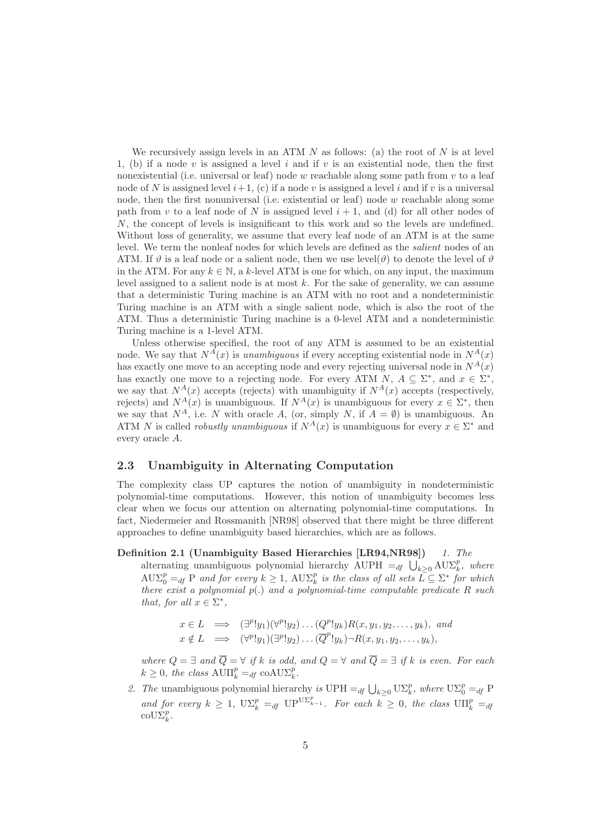We recursively assign levels in an ATM  $N$  as follows: (a) the root of  $N$  is at level 1, (b) if a node v is assigned a level i and if v is an existential node, then the first nonexistential (i.e. universal or leaf) node w reachable along some path from  $v$  to a leaf node of N is assigned level  $i+1$ , (c) if a node v is assigned a level i and if v is a universal node, then the first nonuniversal (i.e. existential or leaf) node w reachable along some path from v to a leaf node of N is assigned level  $i + 1$ , and (d) for all other nodes of N, the concept of levels is insignificant to this work and so the levels are undefined. Without loss of generality, we assume that every leaf node of an ATM is at the same level. We term the nonleaf nodes for which levels are defined as the salient nodes of an ATM. If  $\vartheta$  is a leaf node or a salient node, then we use level( $\vartheta$ ) to denote the level of  $\vartheta$ in the ATM. For any  $k \in \mathbb{N}$ , a k-level ATM is one for which, on any input, the maximum level assigned to a salient node is at most  $k$ . For the sake of generality, we can assume that a deterministic Turing machine is an ATM with no root and a nondeterministic Turing machine is an ATM with a single salient node, which is also the root of the ATM. Thus a deterministic Turing machine is a 0-level ATM and a nondeterministic Turing machine is a 1-level ATM.

Unless otherwise specified, the root of any ATM is assumed to be an existential node. We say that  $N^{\overline{A}}(x)$  is unambiguous if every accepting existential node in  $N^{\overline{A}}(x)$ has exactly one move to an accepting node and every rejecting universal node in  $N^A(x)$ has exactly one move to a rejecting node. For every ATM  $N$ ,  $A \subseteq \Sigma^*$ , and  $x \in \Sigma^*$ , we say that  $N^A(x)$  accepts (rejects) with unambiguity if  $N^A(x)$  accepts (respectively, rejects) and  $N^A(x)$  is unambiguous. If  $N^A(x)$  is unambiguous for every  $x \in \Sigma^*$ , then we say that  $N^A$ , i.e. N with oracle A, (or, simply N, if  $A = \emptyset$ ) is unambiguous. An ATM N is called *robustly unambiguous* if  $N^A(x)$  is unambiguous for every  $x \in \Sigma^*$  and every oracle A.

#### 2.3 Unambiguity in Alternating Computation

The complexity class UP captures the notion of unambiguity in nondeterministic polynomial-time computations. However, this notion of unambiguity becomes less clear when we focus our attention on alternating polynomial-time computations. In fact, Niedermeier and Rossmanith [NR98] observed that there might be three different approaches to define unambiguity based hierarchies, which are as follows.

Definition 2.1 (Unambiguity Based Hierarchies [LR94,NR98]) 1. The alternating unambiguous polynomial hierarchy AUPH  $=_{df} \bigcup_{k\geq 0} \text{AUX}_{k}^{p}$ , where  $A \cup \Sigma_0^p =_{df} P$  and for every  $k \geq 1$ ,  $A \cup \Sigma_k^p$  is the class of all sets  $\overline{L} \subseteq \Sigma^*$  for which there exist a polynomial  $p(.)$  and a polynomial-time computable predicate R such that, for all  $x \in \Sigma^*$ ,

$$
x \in L \implies (\exists^p! y_1)(\forall^p! y_2) \dots (Q^p! y_k) R(x, y_1, y_2, \dots, y_k), \text{ and}
$$
  

$$
x \notin L \implies (\forall^p! y_1)(\exists^p! y_2) \dots (\overline{Q}^p! y_k) \neg R(x, y_1, y_2, \dots, y_k),
$$

where  $Q = \exists$  and  $\overline{Q} = \forall$  if k is odd, and  $Q = \forall$  and  $\overline{Q} = \exists$  if k is even. For each  $k \geq 0$ , the class  $\text{AUI}_{k}^{p} =_{df} \text{coAU}\Sigma_{k}^{p}$ .

2. The unambiguous polynomial hierarchy is UPH  $=_{df} \bigcup_{k \geq 0} \bigcup_{k \geq 0} \bigcup_{k \geq 0} k$ , where  $\bigcup_{k \geq 0} p$ and for every  $k \geq 1$ ,  $\mathrm{U}\Sigma_k^p =_{df} \mathrm{U}\mathrm{P}^{\mathrm{U}\Sigma_{k-1}^p}$ . For each  $k \geq 0$ , the class  $\mathrm{U}\Pi_k^p =_{df}$  $\operatorname{coU}\!\Sigma_k^p$ .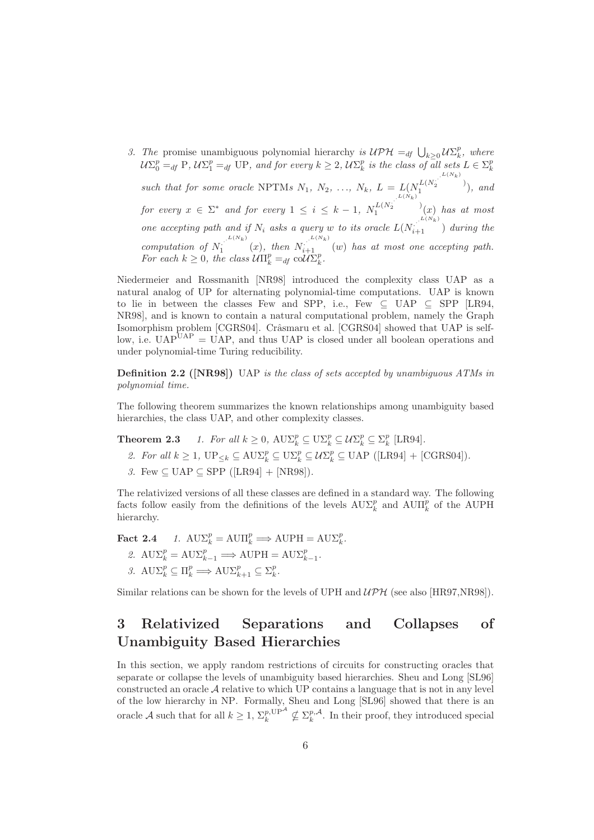3. The promise unambiguous polynomial hierarchy is  $\mathcal{UPH} =_{df} \bigcup_{k \geq 0} \mathcal{U}\Sigma_k^p$ , where  $\mathcal{U}\Sigma_0^p =_{df} \text{P}, \mathcal{U}\Sigma_1^p =_{df} \text{UP}, \text{ and for every } k \geq 2, \mathcal{U}\Sigma_k^p \text{ is the class of all sets } L \in \Sigma_k^p$  $k$  is the cluss of all sets  $L \subset \mathbb{Z}_k$ such that for some oracle NPTMs  $N_1, N_2, ..., N_k, L = L(N_1^{L(N_2^{\cdot}, L(N_k)})$  $\binom{L_1}{1}$ , and for every  $x \in \Sigma^*$  and for every  $1 \leq i \leq k-1$ ,  $N_1^{L(N_2)}$  $\int_1^{L(N_2)} (x)$  has at most one accepting path and if  $N_i$  asks a query w to its oracle  $L(N_{i+1}^{L(N_k)})$  during the computation of  $N_1$ .<sup>L(Nk)</sup>  $\sum_{i=1}^{L(N_k)} (x)$ , then  $N_{i+1}$  (w) has at most one accepting path. For each  $k \geq 0$ , the class  $\mathcal{U}\Pi_k^p =_{df} \text{col } \mathcal{U}\Sigma_k^p$ .

Niedermeier and Rossmanith [NR98] introduced the complexity class UAP as a natural analog of UP for alternating polynomial-time computations. UAP is known to lie in between the classes Few and SPP, i.e., Few  $\subseteq$  UAP  $\subseteq$  SPP [LR94, NR98], and is known to contain a natural computational problem, namely the Graph Isomorphism problem [CGRS04]. Crâsmaru et al. [CGRS04] showed that UAP is selflow, i.e.  $\text{UAP}^{\text{UAP}} = \text{UAP}$ , and thus UAP is closed under all boolean operations and under polynomial-time Turing reducibility.

Definition 2.2 ([NR98]) UAP is the class of sets accepted by unambiguous ATMs in polynomial time.

The following theorem summarizes the known relationships among unambiguity based hierarchies, the class UAP, and other complexity classes.

**Theorem 2.3** 1. For all  $k \geq 0$ ,  $\text{AUX}_k^p \subseteq \text{U}\Sigma_k^p \subseteq \mathcal{U}\Sigma_k^p \subseteq \Sigma_k^p$  [LR94].

- 2. For all  $k \geq 1$ ,  $\text{UP}_{\leq k} \subseteq \text{AUX}_k^p \subseteq \text{UX}_k^p \subseteq \text{UAP}$  ([LR94] + [CGRS04]).
- 3. Few  $\subseteq$  UAP  $\subseteq$  SPP ([LR94] + [NR98]).

The relativized versions of all these classes are defined in a standard way. The following facts follow easily from the definitions of the levels  $\text{A}\text{U}\Sigma_k^p$  and  $\text{A}\text{U}\Pi_k^p$  of the AUPH hierarchy.

**Fact 2.4** 1.  $\text{A}\text{U}\Sigma_k^p = \text{A}\text{U}\Pi_k^p \Longrightarrow \text{A}\text{U}\text{P}\text{H} = \text{A}\text{U}\Sigma_k^p$ .

- 2.  $\text{A}\text{U}\Sigma_k^p = \text{A}\text{U}\Sigma_{k-1}^p \Longrightarrow \text{A}\text{UPH} = \text{A}\text{U}\Sigma_{k-1}^p.$
- 3.  $\mathrm{A}\mathrm{U}\Sigma_k^p \subseteq \Pi_k^p \Longrightarrow \mathrm{A}\mathrm{U}\Sigma_{k+1}^p \subseteq \Sigma_k^p$ .

Similar relations can be shown for the levels of UPH and  $\mathcal{UPH}$  (see also [HR97,NR98]).

## 3 Relativized Separations and Collapses of Unambiguity Based Hierarchies

In this section, we apply random restrictions of circuits for constructing oracles that separate or collapse the levels of unambiguity based hierarchies. Sheu and Long [SL96] constructed an oracle  $A$  relative to which UP contains a language that is not in any level of the low hierarchy in NP. Formally, Sheu and Long [SL96] showed that there is an oracle A such that for all  $k \geq 1$ ,  $\Sigma_k^{p,\text{UP}} \nsubseteq \Sigma_k^{p,\mathcal{A}}$ . In their proof, they introduced special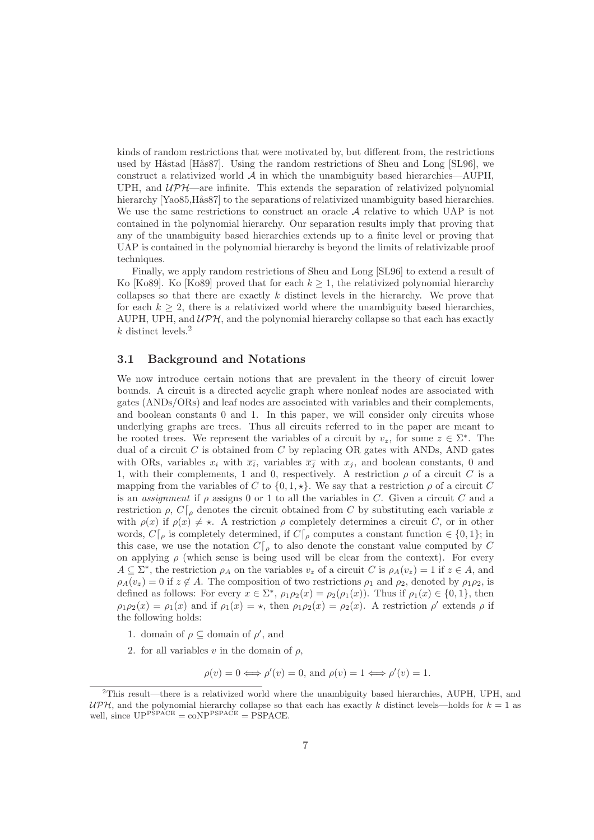kinds of random restrictions that were motivated by, but different from, the restrictions used by Håstad [Hås87]. Using the random restrictions of Sheu and Long [SL96], we construct a relativized world  $A$  in which the unambiguity based hierarchies—AUPH, UPH, and  $UPL$ —are infinite. This extends the separation of relativized polynomial hierarchy [Yao85,Hås87] to the separations of relativized unambiguity based hierarchies. We use the same restrictions to construct an oracle  $A$  relative to which UAP is not contained in the polynomial hierarchy. Our separation results imply that proving that any of the unambiguity based hierarchies extends up to a finite level or proving that UAP is contained in the polynomial hierarchy is beyond the limits of relativizable proof techniques.

Finally, we apply random restrictions of Sheu and Long [SL96] to extend a result of Ko [Ko89]. Ko [Ko89] proved that for each  $k \geq 1$ , the relativized polynomial hierarchy collapses so that there are exactly  $k$  distinct levels in the hierarchy. We prove that for each  $k \geq 2$ , there is a relativized world where the unambiguity based hierarchies, AUPH, UPH, and  $\mathcal{UPH}$ , and the polynomial hierarchy collapse so that each has exactly  $k$  distinct levels.<sup>2</sup>

#### 3.1 Background and Notations

We now introduce certain notions that are prevalent in the theory of circuit lower bounds. A circuit is a directed acyclic graph where nonleaf nodes are associated with gates (ANDs/ORs) and leaf nodes are associated with variables and their complements, and boolean constants 0 and 1. In this paper, we will consider only circuits whose underlying graphs are trees. Thus all circuits referred to in the paper are meant to be rooted trees. We represent the variables of a circuit by  $v_z$ , for some  $z \in \Sigma^*$ . The dual of a circuit C is obtained from C by replacing OR gates with ANDs, AND gates with ORs, variables  $x_i$  with  $\overline{x_i}$ , variables  $\overline{x_j}$  with  $x_j$ , and boolean constants, 0 and 1, with their complements, 1 and 0, respectively. A restriction  $\rho$  of a circuit C is a mapping from the variables of C to  $\{0, 1, \star\}$ . We say that a restriction  $\rho$  of a circuit C is an *assignment* if  $\rho$  assigns 0 or 1 to all the variables in C. Given a circuit C and a restriction  $\rho$ ,  $C\vert_{\rho}$  denotes the circuit obtained from C by substituting each variable x with  $\rho(x)$  if  $\rho(x) \neq \star$ . A restriction  $\rho$  completely determines a circuit C, or in other words,  $C\vert_{\rho}$  is completely determined, if  $C\vert_{\rho}$  computes a constant function  $\in \{0,1\}$ ; in this case, we use the notation  $C\vert_{\rho}$  to also denote the constant value computed by C on applying  $\rho$  (which sense is being used will be clear from the context). For every  $A \subseteq \Sigma^*$ , the restriction  $\rho_A$  on the variables  $v_z$  of a circuit C is  $\rho_A(v_z) = 1$  if  $z \in A$ , and  $\rho_A(v_z) = 0$  if  $z \notin A$ . The composition of two restrictions  $\rho_1$  and  $\rho_2$ , denoted by  $\rho_1 \rho_2$ , is defined as follows: For every  $x \in \Sigma^*$ ,  $\rho_1 \rho_2(x) = \rho_2(\rho_1(x))$ . Thus if  $\rho_1(x) \in \{0, 1\}$ , then  $\rho_1 \rho_2(x) = \rho_1(x)$  and if  $\rho_1(x) = \star$ , then  $\rho_1 \rho_2(x) = \rho_2(x)$ . A restriction  $\rho'$  extends  $\rho$  if the following holds:

- 1. domain of  $\rho \subseteq$  domain of  $\rho'$ , and
- 2. for all variables  $v$  in the domain of  $\rho$ ,

$$
\rho(v) = 0 \Longleftrightarrow \rho'(v) = 0
$$
, and  $\rho(v) = 1 \Longleftrightarrow \rho'(v) = 1$ .

<sup>2</sup>This result—there is a relativized world where the unambiguity based hierarchies, AUPH, UPH, and  $UPH$ , and the polynomial hierarchy collapse so that each has exactly k distinct levels—holds for  $k = 1$  as well, since  $UP^{PSPACE} = coNP^{PSPACE} = PSPACE$ .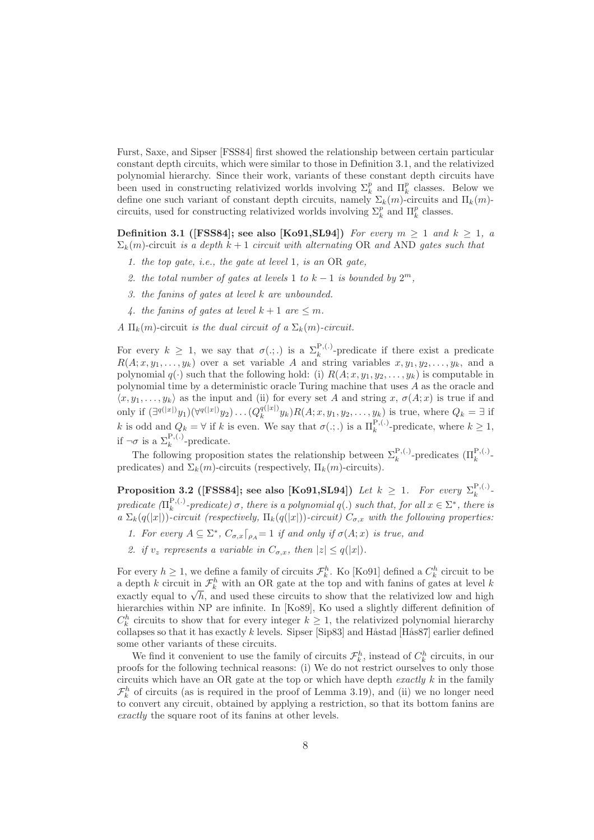Furst, Saxe, and Sipser [FSS84] first showed the relationship between certain particular constant depth circuits, which were similar to those in Definition 3.1, and the relativized polynomial hierarchy. Since their work, variants of these constant depth circuits have been used in constructing relativized worlds involving  $\Sigma_k^p$  and  $\Pi_k^p$  classes. Below we define one such variant of constant depth circuits, namely  $\Sigma_k(m)$ -circuits and  $\Pi_k(m)$ circuits, used for constructing relativized worlds involving  $\Sigma_k^p$  and  $\Pi_k^p$  classes.

**Definition 3.1 ([FSS84]; see also [Ko91, SL94])** For every  $m \geq 1$  and  $k \geq 1$ , a  $\Sigma_k(m)$ -circuit is a depth  $k+1$  circuit with alternating OR and AND gates such that

- 1. the top gate, i.e., the gate at level 1, is an OR gate,
- 2. the total number of gates at levels 1 to  $k-1$  is bounded by  $2^m$ ,
- 3. the fanins of gates at level k are unbounded.
- 4. the fanins of gates at level  $k + 1$  are  $\leq m$ .

A  $\Pi_k(m)$ -circuit is the dual circuit of a  $\Sigma_k(m)$ -circuit.

For every  $k \geq 1$ , we say that  $\sigma(.;.)$  is a  $\Sigma_k^{P,(.)}$ -predicate if there exist a predicate  $R(A; x, y_1, \ldots, y_k)$  over a set variable A and string variables  $x, y_1, y_2, \ldots, y_k$ , and a polynomial  $q(\cdot)$  such that the following hold: (i)  $R(A; x, y_1, y_2, \ldots, y_k)$  is computable in polynomial time by a deterministic oracle Turing machine that uses  $A$  as the oracle and  $\langle x, y_1, \ldots, y_k \rangle$  as the input and (ii) for every set A and string x,  $\sigma(A; x)$  is true if and only if  $(\exists^{q(|x|)}y_1)(\forall^{q(|x|)}y_2)\dots (Q_k^{q(|x|)}y_k)R(A;x,y_1,y_2,\dots,y_k)$  is true, where  $Q_k = ∃$  if k is odd and  $Q_k = \forall$  if k is even. We say that  $\sigma(.;.)$  is a  $\Pi_k^{P,(.)}$ -predicate, where  $k \geq 1$ , if  $\neg \sigma$  is a  $\Sigma_k^{P,(.)}$ -predicate.

The following proposition states the relationship between  $\Sigma_k^{\mathbf{P},(\cdot)}$ <sup>P<sub>,</sub>(.)</sup>-predicates  $(\Pi_k^{\text{P},(\cdot)}$ predicates) and  $\Sigma_k(m)$ -circuits (respectively,  $\Pi_k(m)$ -circuits).

**Proposition 3.2** ([FSS84]; see also [Ko91,SL94]) Let  $k \geq 1$ . For every  $\Sigma_k^{\mathcal{P},(.)}$  $\frac{F\, , \left( \cdot \right) }{k}$  – predicate  $(\Pi_k^{\mathbf{P},(\cdot)}$  $\mathcal{F}_k^{(1)}$ -predicate)  $\sigma$ , there is a polynomial  $q(.)$  such that, for all  $x \in \Sigma^*$ , there is a  $\Sigma_k(q(|x|))$ -circuit (respectively,  $\Pi_k(q(|x|))$ -circuit)  $C_{\sigma,x}$  with the following properties:

- 1. For every  $A \subseteq \Sigma^*$ ,  $C_{\sigma,x} \lceil_{\rho_A} = 1$  if and only if  $\sigma(A; x)$  is true, and
- 2. if  $v_z$  represents a variable in  $C_{\sigma,x}$ , then  $|z| \leq q(|x|)$ .

For every  $h \geq 1$ , we define a family of circuits  $\mathcal{F}_k^h$ . Ko [Ko91] defined a  $C_k^h$  circuit to be a depth k circuit in  $\mathcal{F}_k^h$  with an OR gate at the top and with fanins of gates at level k exactly equal to  $\sqrt{h}$ , and used these circuits to show that the relativized low and high hierarchies within NP are infinite. In [Ko89], Ko used a slightly different definition of  $C_k^h$  circuits to show that for every integer  $k \geq 1$ , the relativized polynomial hierarchy collapses so that it has exactly k levels. Sipser [Sip83] and Håstad [Hås87] earlier defined some other variants of these circuits.

We find it convenient to use the family of circuits  $\mathcal{F}_k^h$ , instead of  $C_k^h$  circuits, in our proofs for the following technical reasons: (i) We do not restrict ourselves to only those circuits which have an OR gate at the top or which have depth  $\emph{exactly } k$  in the family  $\mathcal{F}_k^h$  of circuits (as is required in the proof of Lemma 3.19), and (ii) we no longer need to convert any circuit, obtained by applying a restriction, so that its bottom fanins are exactly the square root of its fanins at other levels.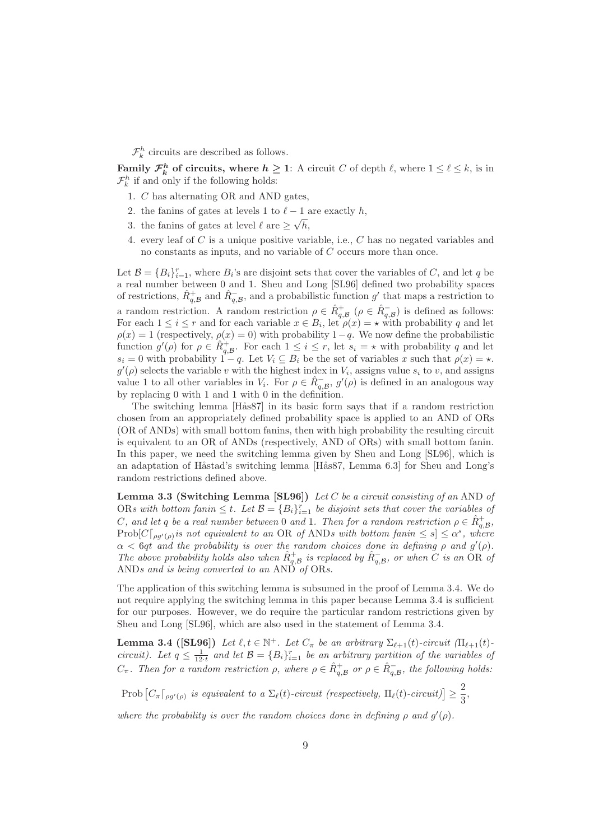$\mathcal{F}_k^h$  circuits are described as follows.

**Family**  $\mathcal{F}_k^h$  of circuits, where  $h \geq 1$ : A circuit C of depth  $\ell$ , where  $1 \leq \ell \leq k$ , is in  $\mathcal{F}_k^h$  if and only if the following holds:

- 1. C has alternating OR and AND gates,
- 2. the fanins of gates at levels 1 to  $\ell 1$  are exactly h,
- 3. the fanins of gates at level  $\ell$  are  $\geq \sqrt{h}$ ,
- 4. every leaf of C is a unique positive variable, i.e., C has no negated variables and no constants as inputs, and no variable of C occurs more than once.

Let  $\mathcal{B} = \{B_i\}_{i=1}^r$ , where  $B_i$ 's are disjoint sets that cover the variables of C, and let q be a real number between 0 and 1. Sheu and Long [SL96] defined two probability spaces of restrictions,  $\hat{R}_{q,B}^+$  and  $\hat{R}_{q,B}^-$ , and a probabilistic function g' that maps a restriction to a random restriction. A random restriction  $\rho \in \hat{R}^+_{q,B}$  ( $\rho \in \hat{R}^-_{q,B}$ ) is defined as follows: For each  $1 \leq i \leq r$  and for each variable  $x \in B_i$ , let  $\rho(x) = \star$  with probability q and let  $\rho(x) = 1$  (respectively,  $\rho(x) = 0$ ) with probability 1–q. We now define the probabilistic function  $g'(\rho)$  for  $\rho \in \hat{R}_{q,B}^+$ . For each  $1 \leq i \leq r$ , let  $s_i = \star$  with probability q and let  $s_i = 0$  with probability  $1 - q$ . Let  $V_i \subseteq B_i$  be the set of variables x such that  $\rho(x) = \star$ .  $g'(\rho)$  selects the variable v with the highest index in  $V_i$ , assigns value  $s_i$  to v, and assigns value 1 to all other variables in  $V_i$ . For  $\rho \in \hat{R}^-_{q,B}$ ,  $g'(\rho)$  is defined in an analogous way by replacing 0 with 1 and 1 with 0 in the definition.

The switching lemma [Hås87] in its basic form says that if a random restriction chosen from an appropriately defined probability space is applied to an AND of ORs (OR of ANDs) with small bottom fanins, then with high probability the resulting circuit is equivalent to an OR of ANDs (respectively, AND of ORs) with small bottom fanin. In this paper, we need the switching lemma given by Sheu and Long [SL96], which is an adaptation of Håstad's switching lemma [Hås87, Lemma 6.3] for Sheu and Long's random restrictions defined above.

Lemma 3.3 (Switching Lemma [SL96]) Let C be a circuit consisting of an AND of ORs with bottom fanin  $\leq t$ . Let  $\mathcal{B} = \{B_i\}_{i=1}^r$  be disjoint sets that cover the variables of C, and let q be a real number between 0 and 1. Then for a random restriction  $\rho \in \hat{R}^+_{q,\mathcal{B}}$ , Prob $[C\lceil_{\rho g'(\rho)}\text{ is not equivalent to an OR of ANDs with bottom fanin} \leq s] \leq \alpha^s$ , where  $\alpha < 6qt$  and the probability is over the random choices done in defining  $\rho$  and  $g'(\rho)$ . The above probability holds also when  $\hat{R}^+_{q,B}$  is replaced by  $\hat{R}^-_{q,B}$ , or when C is an OR of ANDs and is being converted to an AND of ORs.

The application of this switching lemma is subsumed in the proof of Lemma 3.4. We do not require applying the switching lemma in this paper because Lemma 3.4 is sufficient for our purposes. However, we do require the particular random restrictions given by Sheu and Long [SL96], which are also used in the statement of Lemma 3.4.

**Lemma 3.4 ([SL96]**) Let  $\ell, t \in \mathbb{N}^+$ . Let  $C_{\pi}$  be an arbitrary  $\Sigma_{\ell+1}(t)$ -circuit  $(\Pi_{\ell+1}(t)$ circuit). Let  $q \leq \frac{1}{12 \cdot t}$  and let  $\mathcal{B} = \{B_i\}_{i=1}^r$  be an arbitrary partition of the variables of  $C_{\pi}$ . Then for a random restriction  $\rho$ , where  $\rho \in \hat{R}^+_{q,B}$  or  $\rho \in \hat{R}^-_{q,B}$ , the following holds:

Prob  $\left[C_{\pi}\right]_{\rho g'(\rho)}$  is equivalent to a  $\Sigma_{\ell}(t)$ -circuit (respectively,  $\Pi_{\ell}(t)$ -circuit) $]\geq$ 2  $\frac{1}{3}$ 

where the probability is over the random choices done in defining  $\rho$  and  $g'(\rho)$ .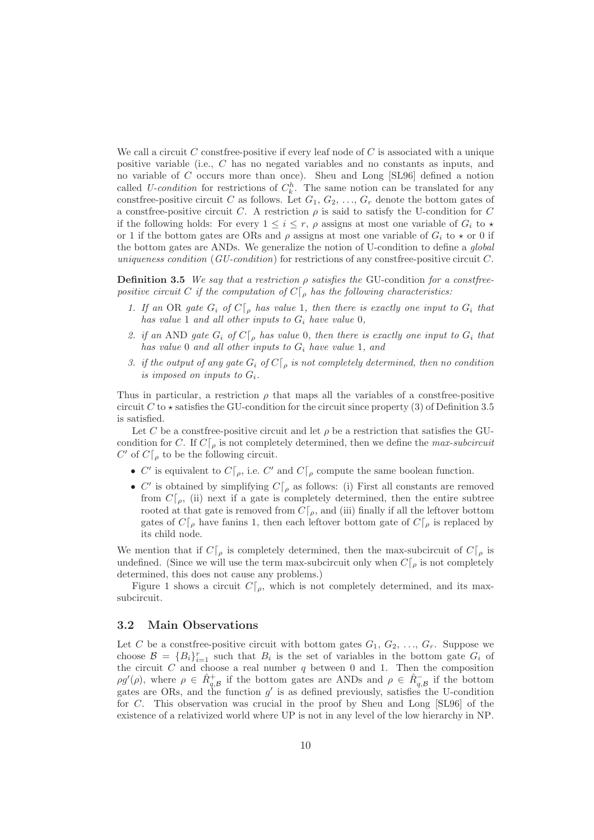We call a circuit C construe positive if every leaf node of C is associated with a unique positive variable (i.e., C has no negated variables and no constants as inputs, and no variable of C occurs more than once). Sheu and Long [SL96] defined a notion called U-condition for restrictions of  $C_k^h$ . The same notion can be translated for any construe-positive circuit C as follows. Let  $G_1, G_2, ..., G_r$  denote the bottom gates of a construe-positive circuit C. A restriction  $\rho$  is said to satisfy the U-condition for C if the following holds: For every  $1 \leq i \leq r$ ,  $\rho$  assigns at most one variable of  $G_i$  to  $\star$ or 1 if the bottom gates are ORs and  $\rho$  assigns at most one variable of  $G_i$  to  $\star$  or 0 if the bottom gates are ANDs. We generalize the notion of U-condition to define a global uniqueness condition  $(GU\text{-}condition)$  for restrictions of any construence-positive circuit C.

**Definition 3.5** We say that a restriction  $\rho$  satisfies the GU-condition for a construepositive circuit C if the computation of  $C\vert_{\rho}$  has the following characteristics:

- 1. If an OR gate  $G_i$  of  $C[\rho]$  has value 1, then there is exactly one input to  $G_i$  that has value 1 and all other inputs to  $G_i$  have value 0,
- 2. if an AND gate  $G_i$  of  $C \vert_{\rho}$  has value 0, then there is exactly one input to  $G_i$  that has value 0 and all other inputs to  $G_i$  have value 1, and
- 3. if the output of any gate  $G_i$  of  $C[\rho]$  is not completely determined, then no condition is imposed on inputs to  $G_i$ .

Thus in particular, a restriction  $\rho$  that maps all the variables of a construe-positive circuit C to  $\star$  satisfies the GU-condition for the circuit since property (3) of Definition 3.5 is satisfied.

Let C be a construe-positive circuit and let  $\rho$  be a restriction that satisfies the GUcondition for C. If  $C[\rho]$  is not completely determined, then we define the *max-subcircuit*  $C'$  of  $C\vert_{\rho}$  to be the following circuit.

- C' is equivalent to  $C[\rho]$ , i.e. C' and  $C[\rho]$  compute the same boolean function.
- C' is obtained by simplifying  $C\vert_{\rho}$  as follows: (i) First all constants are removed from  $C[\rho, (ii)$  next if a gate is completely determined, then the entire subtree rooted at that gate is removed from  $C[\rho]$ , and (iii) finally if all the leftover bottom gates of  $C\vert_{\rho}$  have fanins 1, then each leftover bottom gate of  $C\vert_{\rho}$  is replaced by its child node.

We mention that if  $C\vert_{\rho}$  is completely determined, then the max-subcircuit of  $C\vert_{\rho}$  is undefined. (Since we will use the term max-subcircuit only when  $C[\rho]$  is not completely determined, this does not cause any problems.)

Figure 1 shows a circuit  $C[\rho]$ , which is not completely determined, and its maxsubcircuit.

### 3.2 Main Observations

Let C be a construee-positive circuit with bottom gates  $G_1, G_2, ..., G_r$ . Suppose we choose  $\mathcal{B} = \{B_i\}_{i=1}^r$  such that  $B_i$  is the set of variables in the bottom gate  $G_i$  of the circuit  $C$  and choose a real number  $q$  between 0 and 1. Then the composition  $\rho g'(\rho)$ , where  $\rho \in \hat{R}^+_{q,B}$  if the bottom gates are ANDs and  $\rho \in \hat{R}^-_{q,B}$  if the bottom gates are ORs, and the function  $g'$  is as defined previously, satisfies the U-condition for C. This observation was crucial in the proof by Sheu and Long [SL96] of the existence of a relativized world where UP is not in any level of the low hierarchy in NP.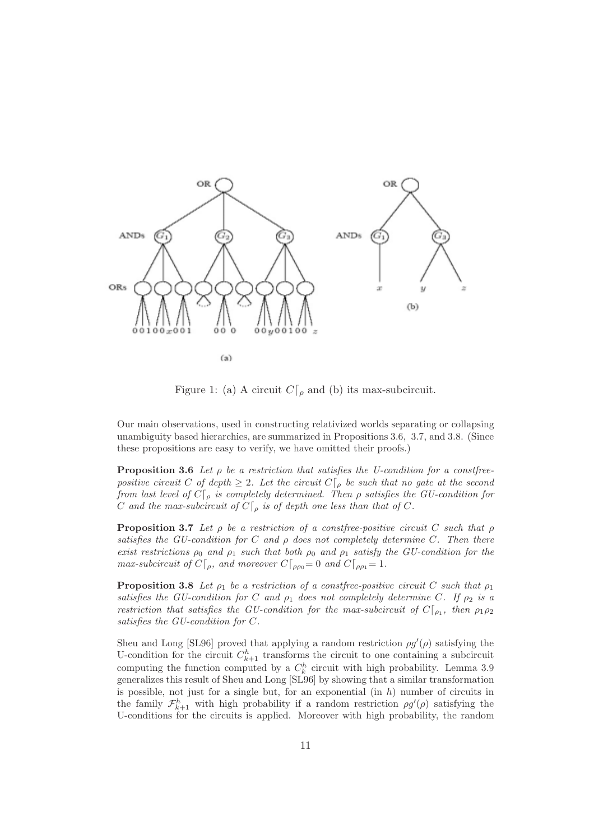

Figure 1: (a) A circuit  $C\vert_{\rho}$  and (b) its max-subcircuit.

Our main observations, used in constructing relativized worlds separating or collapsing unambiguity based hierarchies, are summarized in Propositions 3.6, 3.7, and 3.8. (Since these propositions are easy to verify, we have omitted their proofs.)

**Proposition 3.6** Let  $\rho$  be a restriction that satisfies the U-condition for a construepositive circuit C of depth  $\geq 2$ . Let the circuit  $C \vert_{\rho}$  be such that no gate at the second from last level of  $C\vert_{\rho}$  is completely determined. Then  $\rho$  satisfies the GU-condition for C and the max-subcircuit of  $C\vert_{\rho}$  is of depth one less than that of C.

**Proposition 3.7** Let  $\rho$  be a restriction of a construe-positive circuit C such that  $\rho$ satisfies the GU-condition for C and  $\rho$  does not completely determine C. Then there exist restrictions  $\rho_0$  and  $\rho_1$  such that both  $\rho_0$  and  $\rho_1$  satisfy the GU-condition for the max-subcircuit of  $C[\rho, \rho]$  and moreover  $C[\rho]_{\rho} = 0$  and  $C[\rho] = 1$ .

**Proposition 3.8** Let  $\rho_1$  be a restriction of a constfree-positive circuit C such that  $\rho_1$ satisfies the GU-condition for C and  $\rho_1$  does not completely determine C. If  $\rho_2$  is a restriction that satisfies the GU-condition for the max-subcircuit of  $C[\rho_1]$ , then  $\rho_1\rho_2$ satisfies the GU-condition for C.

Sheu and Long [SL96] proved that applying a random restriction  $\rho g'(\rho)$  satisfying the U-condition for the circuit  $C_{k+1}^h$  transforms the circuit to one containing a subcircuit computing the function computed by a  $C_k^h$  circuit with high probability. Lemma 3.9 generalizes this result of Sheu and Long [SL96] by showing that a similar transformation is possible, not just for a single but, for an exponential  $(in h)$  number of circuits in the family  $\mathcal{F}_{k+1}^h$  with high probability if a random restriction  $\rho g'(\rho)$  satisfying the U-conditions for the circuits is applied. Moreover with high probability, the random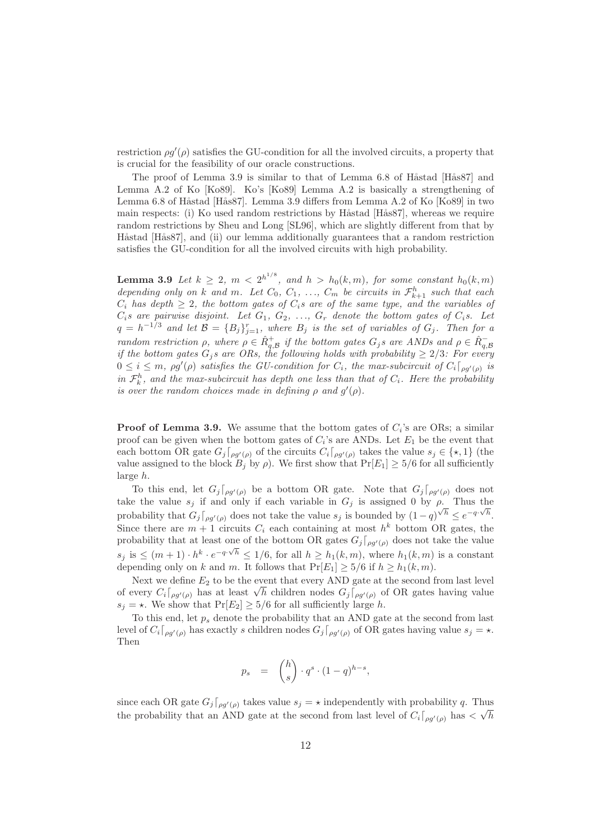restriction  $\rho g'(\rho)$  satisfies the GU-condition for all the involved circuits, a property that is crucial for the feasibility of our oracle constructions.

The proof of Lemma 3.9 is similar to that of Lemma 6.8 of Håstad [Hås87] and Lemma A.2 of Ko [Ko89]. Ko's [Ko89] Lemma A.2 is basically a strengthening of Lemma 6.8 of Håstad [Hås87]. Lemma 3.9 differs from Lemma A.2 of Ko [Ko89] in two main respects: (i) Ko used random restrictions by Håstad [Hås87], whereas we require random restrictions by Sheu and Long [SL96], which are slightly different from that by Håstad [Hås87], and (ii) our lemma additionally guarantees that a random restriction satisfies the GU-condition for all the involved circuits with high probability.

**Lemma 3.9** Let  $k \geq 2$ ,  $m < 2^{h^{1/8}}$ , and  $h > h_0(k,m)$ , for some constant  $h_0(k,m)$ depending only on k and m. Let  $C_0$ ,  $C_1$ , ...,  $C_m$  be circuits in  $\mathcal{F}_{k+1}^h$  such that each  $C_i$  has depth  $\geq 2$ , the bottom gates of  $C_i$ s are of the same type, and the variables of  $C_i$ s are pairwise disjoint. Let  $G_1, G_2, ..., G_r$  denote the bottom gates of  $C_i$ s. Let  $q = h^{-1/3}$  and let  $\mathcal{B} = \{B_j\}_{j=1}^r$ , where  $B_j$  is the set of variables of  $G_j$ . Then for a random restriction  $\rho$ , where  $\rho \in \hat{R}^+_{q,B}$  if the bottom gates  $G_j$ s are ANDs and  $\rho \in \hat{R}^-_{q,B}$ if the bottom gates  $G_j$ s are ORs, the following holds with probability  $\geq 2/3$ : For every  $0 \leq i \leq m$ ,  $\rho g'(\rho)$  satisfies the GU-condition for  $C_i$ , the max-subcircuit of  $C_i\lceil_{\rho g'(\rho)}$  is in  $\mathcal{F}_k^h$ , and the max-subcircuit has depth one less than that of  $C_i$ . Here the probability is over the random choices made in defining  $\rho$  and  $g'(\rho)$ .

**Proof of Lemma 3.9.** We assume that the bottom gates of  $C_i$ 's are ORs; a similar proof can be given when the bottom gates of  $C_i$ 's are ANDs. Let  $E_1$  be the event that each bottom OR gate  $G_j\lceil_{\rho g'(\rho)}\right]$  of the circuits  $C_i\lceil_{\rho g'(\rho)}\right]$  takes the value  $s_j \in \{\star,1\}$  (the value assigned to the block  $B_j$  by  $\rho$ ). We first show that  $Pr[E_1] \ge 5/6$  for all sufficiently large h.

To this end, let  $G_j|_{\rho g'(\rho)}$  be a bottom OR gate. Note that  $G_j|_{\rho g'(\rho)}$  does not take the value  $s_j$  if and only if each variable in  $G_j$  is assigned 0 by  $\rho$ . Thus the probability that  $G_j\lceil_{\rho g'(\rho)}$  does not take the value  $s_j$  is bounded by  $(1-q)^{\sqrt{h}} \leq e^{-q\cdot\sqrt{h}}$ . Since there are  $m + 1$  circuits  $C_i$  each containing at most  $h^k$  bottom OR gates, the probability that at least one of the bottom OR gates  $G_j|_{\rho q'(\rho)}$  does not take the value  $s_j$  is  $\leq (m+1) \cdot h^k \cdot e^{-q \cdot \sqrt{h}} \leq 1/6$ , for all  $h \geq h_1(k,m)$ , where  $h_1(k,m)$  is a constant depending only on k and m. It follows that  $Pr[E_1] \ge 5/6$  if  $h \ge h_1(k,m)$ .

Next we define  $E_2$  to be the event that every AND gate at the second from last level of every  $C_i\lceil_{\rho g'(\rho)}$  has at least  $\sqrt{h}$  children nodes  $G_j\lceil_{\rho g'(\rho)}$  of OR gates having value  $s_j = \star$ . We show that  $Pr[E_2] \ge 5/6$  for all sufficiently large h.

To this end, let  $p_s$  denote the probability that an AND gate at the second from last level of  $C_i\lceil_{\rho g'(\rho)}$  has exactly s children nodes  $G_j\lceil_{\rho g'(\rho)}$  of OR gates having value  $s_j = \star$ . Then

$$
p_s = {h \choose s} \cdot q^s \cdot (1-q)^{h-s},
$$

since each OR gate  $G_j|_{\rho g'(\rho)}$  takes value  $s_j = \star$  independently with probability q. Thus the probability that an AND gate at the second from last level of  $C_i\lceil_{\rho g'(\rho)}\right]$  has  $\langle \sqrt{h}$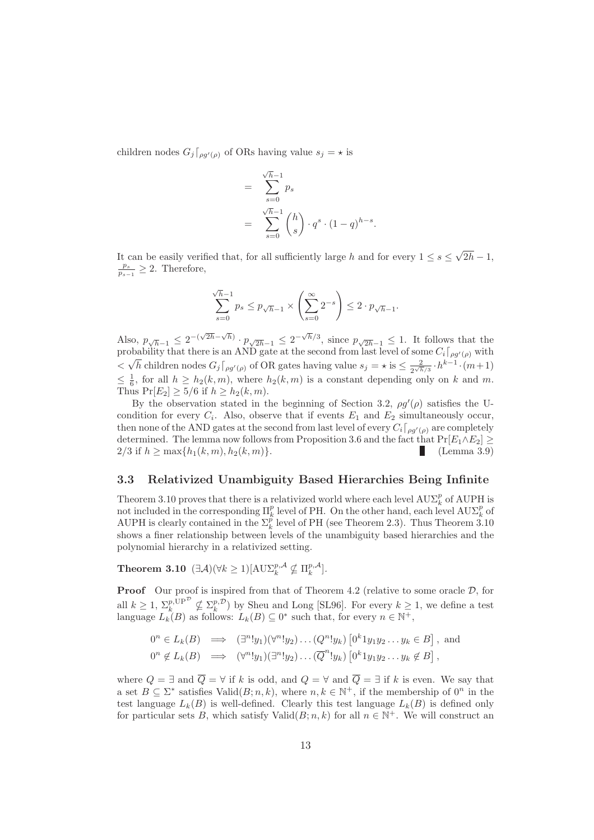children nodes  $G_j$   $\big[_{\rho q'(\rho)}\big]$  of ORs having value  $s_j = \star$  is

$$
= \sum_{s=0}^{\sqrt{h}-1} p_s
$$
  
= 
$$
\sum_{s=0}^{\sqrt{h}-1} {h \choose s} \cdot q^s \cdot (1-q)^{h-s}.
$$

It can be easily verified that, for all sufficiently large h and for every  $1 \leq s \leq \sqrt{2h} - 1$ ,  $\frac{p_s}{p_{s-1}} \geq 2$ . Therefore,

$$
\sum_{s=0}^{\sqrt{h}-1} p_s \le p_{\sqrt{h}-1} \times \left(\sum_{s=0}^{\infty} 2^{-s}\right) \le 2 \cdot p_{\sqrt{h}-1}.
$$

Also,  $p_{\sqrt{h}-1} \leq 2^{-(\sqrt{2h}-\sqrt{h})} \cdot p_{\sqrt{2h}-1} \leq 2^{-\sqrt{h}/3}$ , since  $p_{\sqrt{2h}-1} \leq 1$ . It follows that the probability that there is an AND gate at the second from last level of some  $C_i\lceil_{\rho g'(\rho)}$  with  $\leq \sqrt{h}$  children nodes  $G_j\lceil_{\rho g'(\rho)}$  of OR gates having value  $s_j = \star$  is  $\leq \frac{2}{2\sqrt{h}} \cdot h^{k-1} \cdot (m+1)$  $\leq \frac{1}{6}$ , for all  $h \geq h_2(k,m)$ , where  $h_2(k,m)$  is a constant depending only on k and m. Thus  $Pr[E_2] \ge 5/6$  if  $h \ge h_2(k,m)$ .

By the observation stated in the beginning of Section 3.2,  $\rho g'(\rho)$  satisfies the Ucondition for every  $C_i$ . Also, observe that if events  $E_1$  and  $E_2$  simultaneously occur, then none of the AND gates at the second from last level of every  $C_i\lceil_{\rho g'(\rho)}\right.$  are completely determined. The lemma now follows from Proposition 3.6 and the fact that  $Pr[E_1 \wedge E_2] \ge 2/3$  if  $h > \max\{h_1(k, m), h_2(k, m)\}\$ . (Lemma 3.9) 2/3 if  $h \ge \max\{h_1(k, m), h_2(k, m)\}.$ 

#### 3.3 Relativized Unambiguity Based Hierarchies Being Infinite

Theorem 3.10 proves that there is a relativized world where each level  $\text{AUE}_k^p$  of  $\text{AUPH}$  is not included in the corresponding  $\Pi_k^p$  level of PH. On the other hand, each level  $\text{A} \text{U} \Sigma_k^p$  of AUPH is clearly contained in the  $\Sigma_k^{\tilde{p}}$  level of PH (see Theorem 2.3). Thus Theorem 3.10 shows a finer relationship between levels of the unambiguity based hierarchies and the polynomial hierarchy in a relativized setting.

**Theorem 3.10**  $(\exists \mathcal{A})(\forall k \geq 1)[\text{A}\text{U}\Sigma_k^{p,\mathcal{A}}] \not\subseteq \Pi_k^{p,\mathcal{A}}]$ .

**Proof** Our proof is inspired from that of Theorem 4.2 (relative to some oracle  $D$ , for all  $k \geq 1$ ,  $\sum_{k=1}^{p, \text{UP}} \nsubseteq \sum_{k=1}^{p, \mathcal{D}}$  by Sheu and Long [SL96]. For every  $k \geq 1$ , we define a test language  $L_k(B)$  as follows:  $L_k(B) \subseteq 0^*$  such that, for every  $n \in \mathbb{N}^+$ ,

$$
0^n \in L_k(B) \implies (\exists^n! y_1)(\forall^n! y_2) \dots (Q^n! y_k) [0^k 1 y_1 y_2 \dots y_k \in B],
$$
 and  

$$
0^n \notin L_k(B) \implies (\forall^n! y_1)(\exists^n! y_2) \dots (\overline{Q}^n! y_k) [0^k 1 y_1 y_2 \dots y_k \notin B],
$$

where  $Q = \exists$  and  $\overline{Q} = \forall$  if k is odd, and  $Q = \forall$  and  $\overline{Q} = \exists$  if k is even. We say that a set  $B \subseteq \Sigma^*$  satisfies Valid $(B; n, k)$ , where  $n, k \in \mathbb{N}^+$ , if the membership of  $0^n$  in the test language  $L_k(B)$  is well-defined. Clearly this test language  $L_k(B)$  is defined only for particular sets B, which satisfy  $\text{Valid}(B; n, k)$  for all  $n \in \mathbb{N}^+$ . We will construct an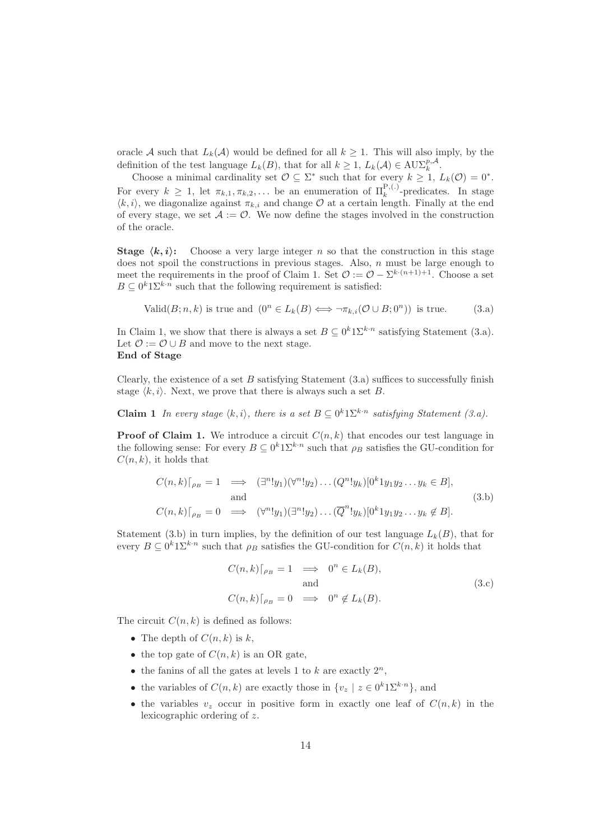oracle A such that  $L_k(\mathcal{A})$  would be defined for all  $k \geq 1$ . This will also imply, by the definition of the test language  $L_k(B)$ , that for all  $k \geq 1$ ,  $L_k(\mathcal{A}) \in \text{AUX}_k^{p,\mathcal{A}}$ .

Choose a minimal cardinality set  $\mathcal{O} \subseteq \Sigma^*$  such that for every  $k \geq 1$ ,  $L_k(\mathcal{O}) = 0^*$ . For every  $k \geq 1$ , let  $\pi_{k,1}, \pi_{k,2}, \ldots$  be an enumeration of  $\Pi_k^{\mathbf{P},(.)}$ -predicates. In stage  $\langle k, i \rangle$ , we diagonalize against  $\pi_{k,i}$  and change  $\mathcal O$  at a certain length. Finally at the end of every stage, we set  $\mathcal{A} := \mathcal{O}$ . We now define the stages involved in the construction of the oracle.

**Stage**  $\langle k, i \rangle$ : Choose a very large integer n so that the construction in this stage does not spoil the constructions in previous stages. Also,  $n$  must be large enough to meet the requirements in the proof of Claim 1. Set  $\mathcal{O} := \mathcal{O} - \Sigma^{k \cdot (n+1)+1}$ . Choose a set  $B \subseteq 0^k 1 \Sigma^{k \cdot n}$  such that the following requirement is satisfied:

$$
Valid(B; n, k) \text{ is true and } (0^n \in L_k(B) \iff \neg \pi_{k,i}(\mathcal{O} \cup B; 0^n)) \text{ is true.}
$$
 (3.a)

In Claim 1, we show that there is always a set  $B \subseteq 0^k 1 \Sigma^{k \cdot n}$  satisfying Statement (3.a). Let  $\mathcal{O} := \mathcal{O} \cup B$  and move to the next stage. End of Stage

Clearly, the existence of a set  $B$  satisfying Statement  $(3,a)$  suffices to successfully finish stage  $\langle k, i \rangle$ . Next, we prove that there is always such a set B.

**Claim 1** In every stage  $\langle k, i \rangle$ , there is a set  $B \subseteq 0^k 1 \Sigma^{k \cdot n}$  satisfying Statement (3.a).

**Proof of Claim 1.** We introduce a circuit  $C(n, k)$  that encodes our test language in the following sense: For every  $B \subseteq 0^k 1 \Sigma^{k \cdot n}$  such that  $\rho_B$  satisfies the GU-condition for  $C(n, k)$ , it holds that

$$
C(n,k)\lceil_{\rho_B}=1 \implies (\exists^n!y_1)(\forall^n!y_2)\dots(Q^n!y_k)[0^k1y_1y_2\dots y_k \in B],
$$
  
and  

$$
C(n,k)\lceil_{\rho_B}=0 \implies (\forall^n!y_1)(\exists^n!y_2)\dots(\overline{Q}^n!y_k)[0^k1y_1y_2\dots y_k \notin B].
$$
  
(3.b)

Statement (3.b) in turn implies, by the definition of our test language  $L_k(B)$ , that for every  $B \subseteq 0^k 1 \Sigma^{k \cdot n}$  such that  $\rho_B$  satisfies the GU-condition for  $C(n, k)$  it holds that

$$
C(n,k)\big|_{\rho_B} = 1 \implies 0^n \in L_k(B),
$$
  
and  

$$
C(n,k)\big|_{\rho_B} = 0 \implies 0^n \notin L_k(B).
$$
 (3.c)

The circuit  $C(n, k)$  is defined as follows:

- The depth of  $C(n, k)$  is k,
- the top gate of  $C(n, k)$  is an OR gate,
- the fanins of all the gates at levels 1 to k are exactly  $2^n$ ,
- the variables of  $C(n, k)$  are exactly those in  $\{v_z \mid z \in 0^k 1 \Sigma^{k \cdot n}\},$  and
- the variables  $v_z$  occur in positive form in exactly one leaf of  $C(n, k)$  in the lexicographic ordering of z.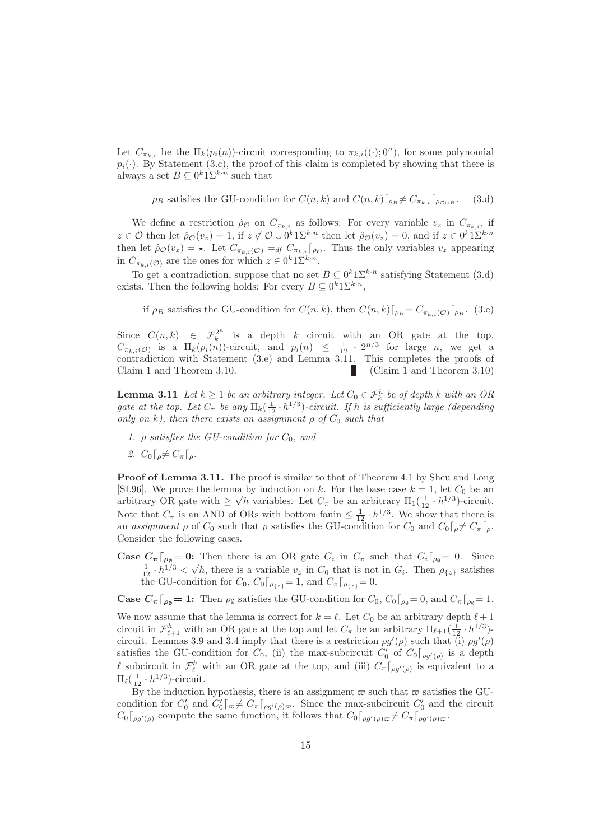Let  $C_{\pi_{k,i}}$  be the  $\Pi_k(p_i(n))$ -circuit corresponding to  $\pi_{k,i}((\cdot); 0^n)$ , for some polynomial  $p_i(\cdot)$ . By Statement (3.c), the proof of this claim is completed by showing that there is always a set  $B \subseteq 0^k 1 \Sigma^{k \cdot n}$  such that

$$
\rho_B
$$
 satisfies the GU-condition for  $C(n,k)$  and  $C(n,k)\lceil_{\rho_B} \neq C_{\pi_{k,i}}\lceil_{\rho_{\mathcal{O}\cup B}}$ . (3.d)

We define a restriction  $\rho_{\mathcal{O}}$  on  $C_{\pi_{k,i}}$  as follows: For every variable  $v_z$  in  $C_{\pi_{k,i}}$ , if  $z \in \mathcal{O}$  then let  $\hat{\rho}_{\mathcal{O}}(v_z) = 1$ , if  $z \notin \mathcal{O} \cup 0^k 1 \Sigma^{k \cdot n}$  then let  $\hat{\rho}_{\mathcal{O}}(v_z) = 0$ , and if  $z \in 0^k 1 \Sigma^{k \cdot n}$ then let  $\hat{\rho}_{\mathcal{O}}(v_z) = \star$ . Let  $C_{\pi_{k,i}(\mathcal{O})} =_{df} C_{\pi_{k,i}}$   $\hat{\rho}_{\mathcal{O}}$ . Thus the only variables  $v_z$  appearing in  $C_{\pi_{k,i}(\mathcal{O})}$  are the ones for which  $z \in 0^k 1 \Sigma^{k \cdot n}$ .

To get a contradiction, suppose that no set  $B \subseteq 0^k 1 \Sigma^{k \cdot n}$  satisfying Statement (3.d) exists. Then the following holds: For every  $B \subseteq 0^k 1 \Sigma^{k \cdot n}$ ,

if  $\rho_B$  satisfies the GU-condition for  $C(n, k)$ , then  $C(n, k)\left[\rho_B=C_{\pi_{k,i}(\mathcal{O})}\right]\left[\rho_B\right]$ . (3.e)

Since  $C(n,k) \in \mathcal{F}_k^{2^n}$  is a depth k circuit with an OR gate at the top,  $C_{\pi_{k,i}(\mathcal{O})}$  is a  $\Pi_k(p_i(n))$ -circuit, and  $p_i(n) \leq \frac{1}{12} \cdot 2^{n/3}$  for large n, we get a contradiction with Statement (3.e) and Lemma 3.11. This completes the proofs of Claim 1 and Theorem 3.10. (Claim 1 and Theorem 3.10)

**Lemma 3.11** Let  $k \geq 1$  be an arbitrary integer. Let  $C_0 \in \mathcal{F}_k^h$  be of depth k with an OR gate at the top. Let  $C_{\pi}$  be any  $\Pi_k(\frac{1}{12} \cdot h^{1/3})$ -circuit. If h is sufficiently large (depending only on k), then there exists an assignment  $\rho$  of  $C_0$  such that

- 1.  $\rho$  satisfies the GU-condition for  $C_0$ , and
- 2.  $C_0 \lceil_{\theta} \neq C_{\pi} \lceil_{\theta}$ .

**Proof of Lemma 3.11.** The proof is similar to that of Theorem 4.1 by Sheu and Long [SL96]. We prove the lemma by induction on k. For the base case  $k = 1$ , let  $C_0$  be an arbitrary OR gate with  $\geq \sqrt{h}$  variables. Let  $C_{\pi}$  be an arbitrary  $\Pi_1(\frac{1}{12} \cdot h^{1/3})$ -circuit. Note that  $C_{\pi}$  is an AND of ORs with bottom fanin  $\leq \frac{1}{12} \cdot h^{1/3}$ . We show that there is an assignment  $\rho$  of  $C_0$  such that  $\rho$  satisfies the GU-condition for  $C_0$  and  $C_0\lceil_{\rho}\neq C_{\pi}\lceil_{\rho}$ . Consider the following cases.

**Case**  $C_{\pi} \big[ \rho_{\emptyset} = 0$ **:** Then there is an OR gate  $G_i$  in  $C_{\pi}$  such that  $G_i \big[ \rho_{\emptyset} = 0$ . Since  $\frac{1}{12} \cdot h^{1/3} < \sqrt{h}$ , there is a variable  $v_z$  in  $C_0$  that is not in  $G_i$ . Then  $\rho_{\{z\}}$  satisfies the GU-condition for  $C_0$ ,  $C_0\lceil_{\rho_{\{z\}}} = 1$ , and  $C_{\pi}\lceil_{\rho_{\{z\}}} = 0$ .

**Case**  $C_{\pi}$ [ $_{\rho_{\emptyset}} = 1$ : Then  $\rho_{\emptyset}$  satisfies the GU-condition for  $C_0$ ,  $C_0$ [ $_{\rho_{\emptyset}} = 0$ , and  $C_{\pi}$ [ $_{\rho_{\emptyset}} = 1$ .

We now assume that the lemma is correct for  $k = \ell$ . Let  $C_0$  be an arbitrary depth  $\ell + 1$ circuit in  $\mathcal{F}_{\ell+1}^h$  with an OR gate at the top and let  $C_\pi$  be an arbitrary  $\Pi_{\ell+1}(\frac{1}{12}, h^{1/3})$ circuit. Lemmas 3.9 and 3.4 imply that there is a restriction  $\rho g'(\rho)$  such that (i)  $\rho g'(\rho)$ satisfies the GU-condition for  $C_0$ , (ii) the max-subcircuit  $C'_0$  of  $C_0\lceil_{\rho g'(\rho)}\rceil$  is a depth l subcircuit in  $\mathcal{F}_{\ell}^{h}$  with an OR gate at the top, and (iii)  $C_{\pi} \lceil_{\rho g'(\rho)}$  is equivalent to a  $\Pi_\ell(\frac{1}{12}\cdot h^{1/3})$ -circuit.

By the induction hypothesis, there is an assignment  $\varpi$  such that  $\varpi$  satisfies the GUcondition for  $C'_0$  and  $C'_0 \rceil_{\varpi} \neq C_{\pi} \rceil_{\rho g'(\rho)\varpi}$ . Since the max-subcircuit  $C'_0$  and the circuit  $C_0\lceil_{\rho g'(\rho)}$  compute the same function, it follows that  $C_0\lceil_{\rho g'(\rho)\varpi} \neq C_{\pi}\lceil_{\rho g'(\rho)\varpi}$ .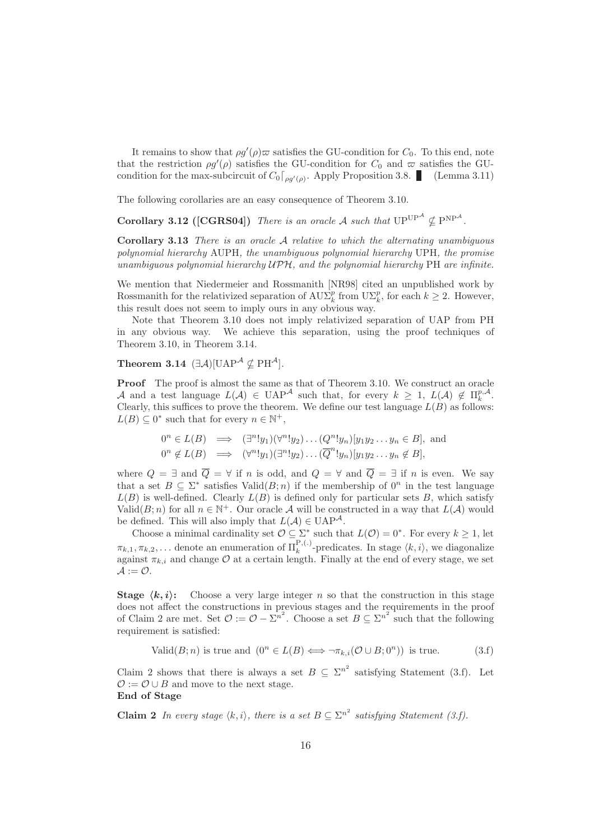It remains to show that  $\rho g'(\rho) \varpi$  satisfies the GU-condition for  $C_0$ . To this end, note that the restriction  $\rho g'(\rho)$  satisfies the GU-condition for  $C_0$  and  $\varpi$  satisfies the GUcondition for the max-subcircuit of  $C_0\lceil_{\rho g'(\rho)}$ . Apply Proposition 3.8. (Lemma 3.11)

The following corollaries are an easy consequence of Theorem 3.10.

**Corollary 3.12 ([CGRS04])** There is an oracle A such that  $UP^{UP^A} \nsubseteq P^{NP^A}$ .

Corollary 3.13 There is an oracle A relative to which the alternating unambiguous polynomial hierarchy AUPH, the unambiguous polynomial hierarchy UPH, the promise unambiguous polynomial hierarchy  $\mathcal{UPH}$ , and the polynomial hierarchy PH are infinite.

We mention that Niedermeier and Rossmanith [NR98] cited an unpublished work by Rossmanith for the relativized separation of  $\mathrm{AUL}_k^p$  from  $\mathrm{UL}_k^p$ , for each  $k \geq 2$ . However, this result does not seem to imply ours in any obvious way.

Note that Theorem 3.10 does not imply relativized separation of UAP from PH in any obvious way. We achieve this separation, using the proof techniques of Theorem 3.10, in Theorem 3.14.

**Theorem 3.14**  $(\exists \mathcal{A})[\text{UAP}^{\mathcal{A}} \nsubseteq \text{PH}^{\mathcal{A}}]$ .

Proof The proof is almost the same as that of Theorem 3.10. We construct an oracle A and a test language  $L(\mathcal{A}) \in \text{UAP}^{\mathcal{A}}$  such that, for every  $k \geq 1$ ,  $L(\mathcal{A}) \notin \Pi_k^{p,\mathcal{A}}$ . Clearly, this suffices to prove the theorem. We define our test language  $L(B)$  as follows:  $L(B) \subseteq 0^*$  such that for every  $n \in \mathbb{N}^+,$ 

$$
0^n \in L(B) \implies (\exists^n! y_1)(\forall^n! y_2) \dots (Q^n! y_n)[y_1 y_2 \dots y_n \in B], \text{ and}
$$
  

$$
0^n \notin L(B) \implies (\forall^n! y_1)(\exists^n! y_2) \dots (\overline{Q}^n! y_n)[y_1 y_2 \dots y_n \notin B],
$$

where  $Q = \exists$  and  $\overline{Q} = \forall$  if n is odd, and  $Q = \forall$  and  $\overline{Q} = \exists$  if n is even. We say that a set  $B \subseteq \Sigma^*$  satisfies  $\text{Valid}(B; n)$  if the membership of  $0^n$  in the test language  $L(B)$  is well-defined. Clearly  $L(B)$  is defined only for particular sets B, which satisfy Valid $(B; n)$  for all  $n \in \mathbb{N}^+$ . Our oracle A will be constructed in a way that  $L(\mathcal{A})$  would be defined. This will also imply that  $L(\mathcal{A}) \in \mathrm{UAP}^{\mathcal{A}}$ .

Choose a minimal cardinality set  $\mathcal{O} \subseteq \Sigma^*$  such that  $L(\mathcal{O}) = 0^*$ . For every  $k \geq 1$ , let  $\pi_{k,1}, \pi_{k,2}, \ldots$  denote an enumeration of  $\Pi_k^{\mathbf{P},(\cdot)}$ -predicates. In stage  $\langle k, i \rangle$ , we diagonalize against  $\pi_{k,i}$  and change  $\mathcal O$  at a certain length. Finally at the end of every stage, we set  $\mathcal{A} := \mathcal{O}.$ 

**Stage**  $\langle k, i \rangle$ : Choose a very large integer n so that the construction in this stage does not affect the constructions in previous stages and the requirements in the proof of Claim 2 are met. Set  $\mathcal{O} := \mathcal{O} - \Sigma^{n^2}$ . Choose a set  $B \subseteq \Sigma^{n^2}$  such that the following requirement is satisfied:

$$
Valid(B; n) \text{ is true and } (0^n \in L(B) \iff \neg \pi_{k,i}(\mathcal{O} \cup B; 0^n)) \text{ is true.}
$$
 (3.1)

Claim 2 shows that there is always a set  $B \subseteq \Sigma^{n^2}$  satisfying Statement (3.f). Let  $\mathcal{O} := \mathcal{O} \cup B$  and move to the next stage. End of Stage

**Claim 2** In every stage  $\langle k, i \rangle$ , there is a set  $B \subseteq \sum^{n^2}$  satisfying Statement (3.f).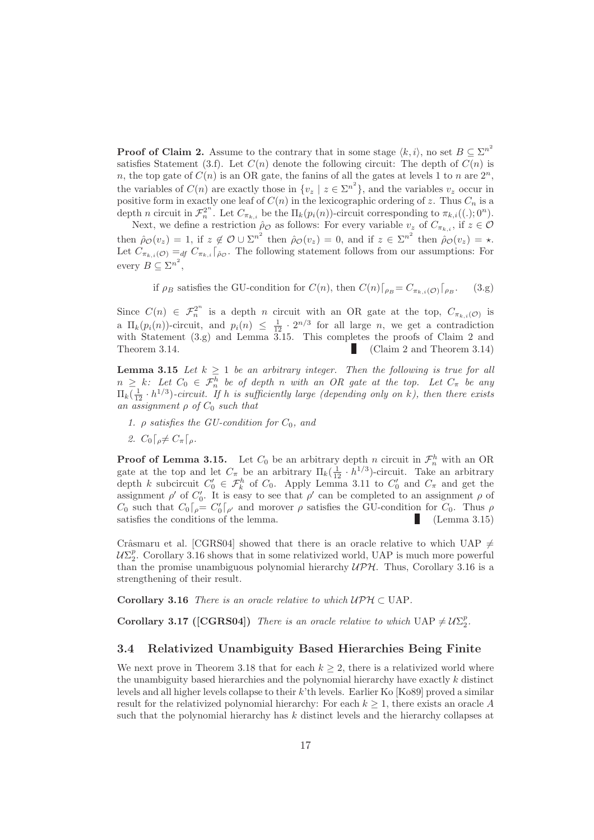**Proof of Claim 2.** Assume to the contrary that in some stage  $\langle k, i \rangle$ , no set  $B \subseteq \Sigma^{n^2}$ satisfies Statement (3.f). Let  $C(n)$  denote the following circuit: The depth of  $C(n)$  is n, the top gate of  $C(n)$  is an OR gate, the fanins of all the gates at levels 1 to n are  $2^n$ , the variables of  $C(n)$  are exactly those in  $\{v_z \mid z \in \Sigma^{n^2}\}\)$ , and the variables  $v_z$  occur in positive form in exactly one leaf of  $C(n)$  in the lexicographic ordering of z. Thus  $C_n$  is a depth n circuit in  $\mathcal{F}_n^{2^n}$ . Let  $C_{\pi_{k,i}}$  be the  $\Pi_k(p_i(n))$ -circuit corresponding to  $\pi_{k,i}((.); 0^n)$ .

Next, we define a restriction  $\rho_{\mathcal{O}}$  as follows: For every variable  $v_z$  of  $C_{\pi_{k,i}}$ , if  $z \in \mathcal{O}$ then  $\rho_{\mathcal{O}}(v_z) = 1$ , if  $z \notin \mathcal{O} \cup \Sigma^{n^2}$  then  $\rho_{\mathcal{O}}(v_z) = 0$ , and if  $z \in \Sigma^{n^2}$  then  $\rho_{\mathcal{O}}(v_z) = \star$ . Let  $C_{\pi_{k,i}(\mathcal{O})} =_{df} C_{\pi_{k,i}}\left[\hat{\rho}_{\mathcal{O}}\right]$ . The following statement follows from our assumptions: For every  $B \subseteq \sum^{n^2}$ ,

if 
$$
\rho_B
$$
 satisfies the GU-condition for  $C(n)$ , then  $C(n)\lceil_{\rho_B} = C_{\pi_{k,i}(\mathcal{O})}\lceil_{\rho_B}$ . (3.g)

Since  $C(n) \in \mathcal{F}_n^{2^n}$  is a depth *n* circuit with an OR gate at the top,  $C_{\pi_{k,i}(\mathcal{O})}$  is a  $\Pi_k(p_i(n))$ -circuit, and  $p_i(n) \leq \frac{1}{12} \cdot 2^{n/3}$  for all large n, we get a contradiction with Statement (3.g) and Lemma 3.15. This completes the proofs of Claim 2 and Theorem 3.14. (Claim 2 and Theorem 3.14)

**Lemma 3.15** Let  $k \geq 1$  be an arbitrary integer. Then the following is true for all  $n \geq k$ : Let  $C_0 \in \mathcal{F}_n^h$  be of depth n with an OR gate at the top. Let  $C_\pi$  be any  $\Pi_k(\frac{1}{12} \cdot h^{1/3})$ -circuit. If h is sufficiently large (depending only on k), then there exists an assignment  $\rho$  of  $C_0$  such that

- 1.  $\rho$  satisfies the GU-condition for  $C_0$ , and
- 2.  $C_0\lceil_{\rho}\neq C_{\pi}\lceil_{\rho}$ .

**Proof of Lemma 3.15.** Let  $C_0$  be an arbitrary depth *n* circuit in  $\mathcal{F}_n^h$  with an OR gate at the top and let  $C_{\pi}$  be an arbitrary  $\Pi_k(\frac{1}{12} \cdot h^{1/3})$ -circuit. Take an arbitrary depth k subcircuit  $C'_0 \in \mathcal{F}_k^h$  of  $C_0$ . Apply Lemma 3.11 to  $C'_0$  and  $C_\pi$  and get the assignment  $\rho'$  of  $C'_0$ . It is easy to see that  $\rho'$  can be completed to an assignment  $\rho$  of  $C_0$  such that  $C_0\lceil_{\rho} = C_0'\lceil_{\rho'}$  and morover  $\rho$  satisfies the GU-condition for  $C_0$ . Thus  $\rho$ satisfies the conditions of the lemma. (Lemma 3.15)

Crâsmaru et al. [CGRS04] showed that there is an oracle relative to which UAP  $\neq$  $U\Sigma_2^p$ . Corollary 3.16 shows that in some relativized world, UAP is much more powerful than the promise unambiguous polynomial hierarchy  $UPH$ . Thus, Corollary 3.16 is a strengthening of their result.

Corollary 3.16 There is an oracle relative to which  $\mathcal{UPH} \subset \text{UAP}$ .

**Corollary 3.17 ([CGRS04])** There is an oracle relative to which  $UAP \neq \mathcal{U}\Sigma_2^p$ .

#### 3.4 Relativized Unambiguity Based Hierarchies Being Finite

We next prove in Theorem 3.18 that for each  $k \geq 2$ , there is a relativized world where the unambiguity based hierarchies and the polynomial hierarchy have exactly k distinct levels and all higher levels collapse to their  $k$ 'th levels. Earlier Ko [Ko89] proved a similar result for the relativized polynomial hierarchy: For each  $k \geq 1$ , there exists an oracle A such that the polynomial hierarchy has  $k$  distinct levels and the hierarchy collapses at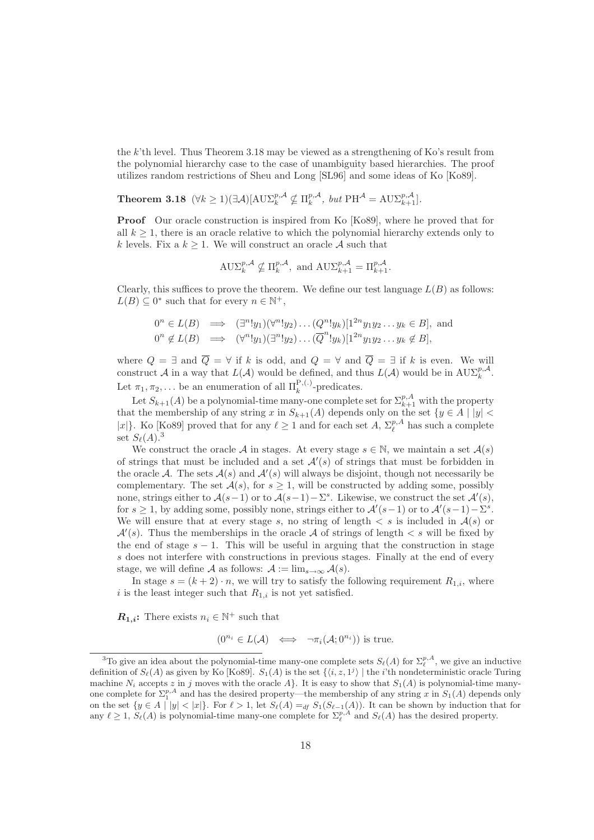the k'th level. Thus Theorem 3.18 may be viewed as a strengthening of Ko's result from the polynomial hierarchy case to the case of unambiguity based hierarchies. The proof utilizes random restrictions of Sheu and Long [SL96] and some ideas of Ko [Ko89].

**Theorem 3.18**  $(\forall k \geq 1)(\exists \mathcal{A})[\text{AUX}_{k}^{p, \mathcal{A}} \nsubseteq \Pi_{k}^{p, \mathcal{A}}, \text{ but } \text{PH}^{\mathcal{A}} = \text{AUX}_{k+1}^{p, \mathcal{A}}].$ 

Proof Our oracle construction is inspired from Ko [Ko89], where he proved that for all  $k \geq 1$ , there is an oracle relative to which the polynomial hierarchy extends only to k levels. Fix a  $k \geq 1$ . We will construct an oracle A such that

$$
\mathrm{A}\mathrm{U}\Sigma_k^{p,\mathcal{A}}\nsubseteq \Pi_k^{p,\mathcal{A}}, \text{ and } \mathrm{A}\mathrm{U}\Sigma_{k+1}^{p,\mathcal{A}}=\Pi_{k+1}^{p,\mathcal{A}}.
$$

Clearly, this suffices to prove the theorem. We define our test language  $L(B)$  as follows:  $L(B) \subseteq 0^*$  such that for every  $n \in \mathbb{N}^+$ ,

$$
0^n \in L(B) \implies (\exists^n! y_1)(\forall^n! y_2) \dots (Q^n! y_k)[1^{2n} y_1 y_2 \dots y_k \in B],
$$
 and  

$$
0^n \notin L(B) \implies (\forall^n! y_1)(\exists^n! y_2) \dots (\overline{Q}^n! y_k)[1^{2n} y_1 y_2 \dots y_k \notin B],
$$

where  $Q = \exists$  and  $Q = \forall$  if k is odd, and  $Q = \forall$  and  $Q = \exists$  if k is even. We will construct A in a way that  $L(\mathcal{A})$  would be defined, and thus  $L(\mathcal{A})$  would be in  $\text{AUX}_{k}^{p,\mathcal{A}}$ . Let  $\pi_1, \pi_2, \ldots$  be an enumeration of all  $\Pi_k^{\mathbf{P}, (\cdot)}$ -predicates.

Let  $S_{k+1}(A)$  be a polynomial-time many-one complete set for  $\Sigma_{k+1}^{p,A}$  with the property that the membership of any string x in  $S_{k+1}(A)$  depends only on the set  $\{y \in A \mid |y| < \infty\}$ |x|}. Ko [Ko89] proved that for any  $\ell \geq 1$  and for each set A,  $\Sigma_{\ell}^{p,A}$  has such a complete set  $S_{\ell}(A)$ .<sup>3</sup>

We construct the oracle A in stages. At every stage  $s \in \mathbb{N}$ , we maintain a set  $\mathcal{A}(s)$ of strings that must be included and a set  $\mathcal{A}'(s)$  of strings that must be forbidden in the oracle A. The sets  $A(s)$  and  $A'(s)$  will always be disjoint, though not necessarily be complementary. The set  $A(s)$ , for  $s \geq 1$ , will be constructed by adding some, possibly none, strings either to  $\mathcal{A}(s-1)$  or to  $\mathcal{A}(s-1)-\Sigma^s$ . Likewise, we construct the set  $\mathcal{A}'(s)$ , for  $s \geq 1$ , by adding some, possibly none, strings either to  $\mathcal{A}'(s-1)$  or to  $\mathcal{A}'(s-1) - \Sigma^s$ . We will ensure that at every stage s, no string of length  $\lt s$  is included in  $\mathcal{A}(s)$  or  $\mathcal{A}'(s)$ . Thus the memberships in the oracle A of strings of length  $\lt s$  will be fixed by the end of stage  $s - 1$ . This will be useful in arguing that the construction in stage s does not interfere with constructions in previous stages. Finally at the end of every stage, we will define A as follows:  $A := \lim_{s \to \infty} A(s)$ .

In stage  $s = (k + 2) \cdot n$ , we will try to satisfy the following requirement  $R_{1,i}$ , where i is the least integer such that  $R_{1,i}$  is not yet satisfied.

 $\mathbf{R}_{1,i}$ : There exists  $n_i \in \mathbb{N}^+$  such that

 $(0^{n_i} \in L(\mathcal{A}) \iff \neg \pi_i(\mathcal{A}; 0^{n_i}))$  is true.

<sup>&</sup>lt;sup>3</sup>To give an idea about the polynomial-time many-one complete sets  $S_{\ell}(A)$  for  $\Sigma_{\ell}^{p,A}$ , we give an inductive definition of  $S_{\ell}(A)$  as given by Ko [Ko89].  $S_1(A)$  is the set  $\{\langle i, z, 1^j \rangle \mid$  the *i*'th nondeterministic oracle Turing machine N<sub>i</sub> accepts z in j moves with the oracle A}. It is easy to show that  $S_1(A)$  is polynomial-time manyone complete for  $\Sigma_1^{p,A}$  and has the desired property—the membership of any string x in  $S_1(A)$  depends only on the set  $\{y \in A \mid |y| < |x|\}$ . For  $\ell > 1$ , let  $S_{\ell}(A) =_{df} S_1(S_{\ell-1}(A))$ . It can be shown by induction that for any  $\ell \geq 1$ ,  $S_{\ell}(A)$  is polynomial-time many-one complete for  $\Sigma_{\ell}^{p,A}$  and  $S_{\ell}(A)$  has the desired property.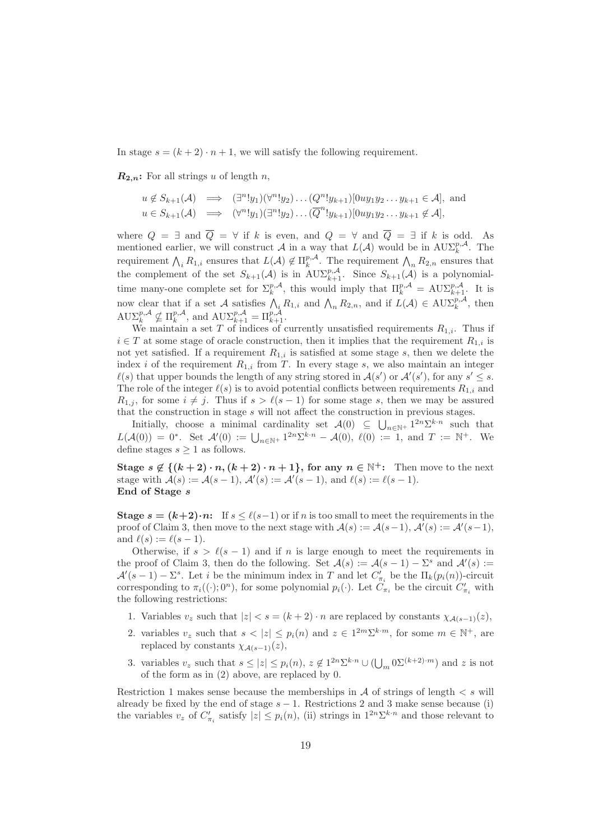In stage  $s = (k + 2) \cdot n + 1$ , we will satisfy the following requirement.

 $\mathbf{R}_{2,n}$ : For all strings u of length n,

$$
u \notin S_{k+1}(\mathcal{A}) \implies (\exists^{n}! y_1)(\forall^{n}! y_2) \dots (Q^{n}! y_{k+1})[0uy_1y_2 \dots y_{k+1} \in \mathcal{A}],
$$
 and  

$$
u \in S_{k+1}(\mathcal{A}) \implies (\forall^{n}! y_1)(\exists^{n}! y_2) \dots (\overline{Q}^{n}! y_{k+1})[0uy_1y_2 \dots y_{k+1} \notin \mathcal{A}],
$$

where  $Q = \exists$  and  $\overline{Q} = \forall$  if k is even, and  $Q = \forall$  and  $\overline{Q} = \exists$  if k is odd. As mentioned earlier, we will construct A in a way that  $L(\mathcal{A})$  would be in  $\text{AUX}_{k}^{p,\mathcal{A}}$ . The requirement  $\bigwedge_i R_{1,i}$  ensures that  $L(\mathcal{A}) \notin \Pi_k^{p,\mathcal{A}}$ . The requirement  $\bigwedge_n R_{2,n}$  ensures that the complement of the set  $S_{k+1}(\mathcal{A})$  is in  $A\cup \Sigma_{k+1}^{p,\mathcal{A}}$ . Since  $S_{k+1}(\mathcal{A})$  is a polynomialtime many-one complete set for  $\Sigma_k^{p,\mathcal{A}}$ , this would imply that  $\Pi_k^{p,\mathcal{A}} = \text{A} U \Sigma_{k+1}^{p,\mathcal{A}}$ . It is now clear that if a set A satisfies  $\bigwedge_i R_{1,i}$  and  $\bigwedge_n R_{2,n}$ , and if  $L(\mathcal{A}) \in \text{AUX}_k^{p,\mathcal{A}}$ , then  $\text{A}\text{U}\Sigma_k^{p,\mathcal{A}} \nsubseteq \Pi_k^{p,\mathcal{A}}, \text{ and } \text{A}\text{U}\Sigma_{k+1}^{p,\mathcal{A}} = \Pi_{k+1}^{p,\mathcal{A}}.$ 

We maintain a set T of indices of currently unsatisfied requirements  $R_{1,i}$ . Thus if  $i \in T$  at some stage of oracle construction, then it implies that the requirement  $R_{1,i}$  is not yet satisfied. If a requirement  $R_{1,i}$  is satisfied at some stage s, then we delete the index i of the requirement  $R_{1,i}$  from T. In every stage s, we also maintain an integer  $\ell(s)$  that upper bounds the length of any string stored in  $\mathcal{A}(s')$  or  $\mathcal{A}'(s')$ , for any  $s' \leq s$ . The role of the integer  $\ell(s)$  is to avoid potential conflicts between requirements  $R_{1,i}$  and  $R_{1,i}$ , for some  $i \neq j$ . Thus if  $s > \ell(s-1)$  for some stage s, then we may be assured that the construction in stage s will not affect the construction in previous stages.

Initially, choose a minimal cardinality set  $\mathcal{A}(0) \subseteq \bigcup_{n \in \mathbb{N}^+} 1^{2n} \Sigma^{k \cdot n}$  such that  $L(\mathcal{A}(0)) = 0^*$ . Set  $\mathcal{A}'(0) := \bigcup_{n \in \mathbb{N}^+} 1^{2n} \Sigma^{k \cdot n} - \mathcal{A}(0), \ell(0) := 1$ , and  $T := \mathbb{N}^+$ . We define stages  $s \geq 1$  as follows.

Stage  $s \notin \{(k+2) \cdot n, (k+2) \cdot n+1\}$ , for any  $n \in \mathbb{N}^+$ : Then move to the next stage with  $\mathcal{A}(s) := \mathcal{A}(s-1), \, \mathcal{A}'(s) := \mathcal{A}'(s-1), \text{ and } \ell(s) := \ell(s-1).$ End of Stage s

Stage  $s = (k+2)\cdot n$ : If  $s \leq \ell(s-1)$  or if n is too small to meet the requirements in the proof of Claim 3, then move to the next stage with  $\mathcal{A}(s) := \mathcal{A}(s-1), \mathcal{A}'(s) := \mathcal{A}'(s-1),$ and  $\ell(s) := \ell(s-1)$ .

Otherwise, if  $s > \ell(s-1)$  and if n is large enough to meet the requirements in the proof of Claim 3, then do the following. Set  $\mathcal{A}(s) := \mathcal{A}(s-1) - \Sigma^s$  and  $\mathcal{A}'(s) :=$  $\mathcal{A}'(s-1) - \Sigma^s$ . Let *i* be the minimum index in T and let  $C'_{\pi_i}$  be the  $\Pi_k(p_i(n))$ -circuit corresponding to  $\pi_i((\cdot); 0^n)$ , for some polynomial  $p_i(\cdot)$ . Let  $C_{\pi_i}$  be the circuit  $C'_{\pi_i}$  with the following restrictions:

- 1. Variables  $v_z$  such that  $|z| < s = (k+2) \cdot n$  are replaced by constants  $\chi_{\mathcal{A}(s-1)}(z)$ ,
- 2. variables  $v_z$  such that  $s < |z| \leq p_i(n)$  and  $z \in 1^{2m} \Sigma^{k \cdot m}$ , for some  $m \in \mathbb{N}^+$ , are replaced by constants  $\chi_{\mathcal{A}(s-1)}(z)$ ,
- 3. variables  $v_z$  such that  $s \leq |z| \leq p_i(n)$ ,  $z \notin 1^{2n} \Sigma^{k \cdot n} \cup (\bigcup_m 0 \Sigma^{(k+2) \cdot m})$  and z is not of the form as in (2) above, are replaced by 0.

Restriction 1 makes sense because the memberships in  $A$  of strings of length  $\lt s$  will already be fixed by the end of stage  $s - 1$ . Restrictions 2 and 3 make sense because (i) the variables  $v_z$  of  $C'_{\pi_i}$  satisfy  $|z| \leq p_i(n)$ , (ii) strings in  $1^{2n} \Sigma^{k \cdot n}$  and those relevant to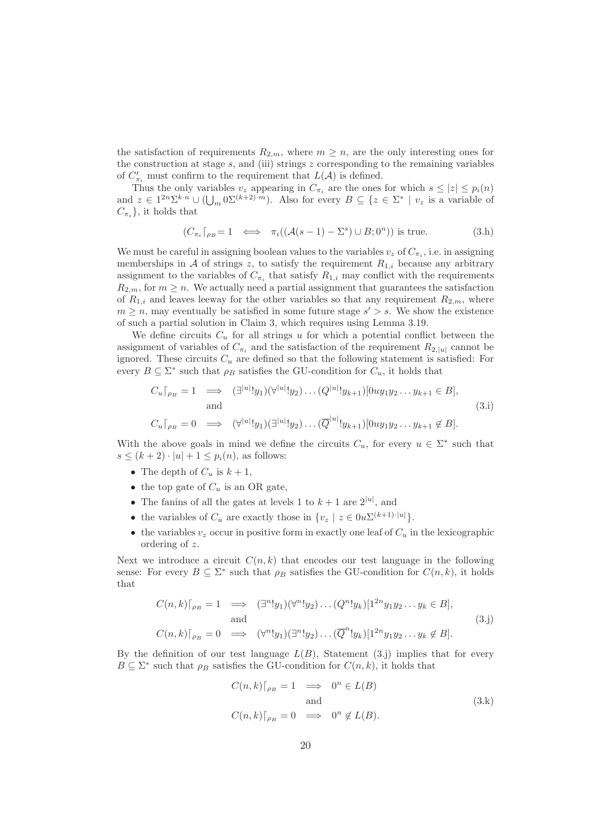the satisfaction of requirements  $R_{2,m}$ , where  $m \geq n$ , are the only interesting ones for the construction at stage  $s$ , and (iii) strings z corresponding to the remaining variables of  $C'_{\pi_i}$  must confirm to the requirement that  $L(\mathcal{A})$  is defined.

Thus the only variables  $v_z$  appearing in  $C_{\pi_i}$  are the ones for which  $s \leq |z| \leq p_i(n)$ and  $z \in 1^{2n} \Sigma^{k \cdot n} \cup (\bigcup_m 0 \Sigma^{(k+2) \cdot m})$ . Also for every  $B \subseteq \{z \in \Sigma^* \mid v_z \text{ is a variable of } \}$  $C_{\pi_i}$ , it holds that

$$
(C_{\pi_i} \lceil_{\rho_B} = 1 \iff \pi_i((\mathcal{A}(s-1) - \Sigma^s) \cup B; 0^n)) \text{ is true.}
$$
 (3.h)

We must be careful in assigning boolean values to the variables  $v_z$  of  $C_{\pi_i}$ , i.e. in assigning memberships in A of strings z, to satisfy the requirement  $R_{1,i}$  because any arbitrary assignment to the variables of  $C_{\pi_i}$  that satisfy  $R_{1,i}$  may conflict with the requirements  $R_{2,m}$ , for  $m \geq n$ . We actually need a partial assignment that guarantees the satisfaction of  $R_{1,i}$  and leaves leeway for the other variables so that any requirement  $R_{2,m}$ , where  $m \geq n$ , may eventually be satisfied in some future stage  $s' > s$ . We show the existence of such a partial solution in Claim 3, which requires using Lemma 3.19.

We define circuits  $C_u$  for all strings u for which a potential conflict between the assignment of variables of  $C_{\pi_i}$  and the satisfaction of the requirement  $R_{2,|u|}$  cannot be ignored. These circuits  $C_u$  are defined so that the following statement is satisfied: For every  $B \subseteq \Sigma^*$  such that  $\rho_B$  satisfies the GU-condition for  $C_u$ , it holds that

$$
C_u\big|_{\rho_B} = 1 \implies (\exists^{|u|}! y_1)(\forall^{|u|}! y_2) \dots (Q^{|u|}! y_{k+1})[0uy_1y_2 \dots y_{k+1} \in B],
$$
  
and  

$$
C_u\big|_{\rho_B} = 0 \implies (\forall^{|u|}! y_1)(\exists^{|u|}! y_2) \dots (\overline{Q}^{|u|}! y_{k+1})[0uy_1y_2 \dots y_{k+1} \notin B].
$$
  
(3.1)

With the above goals in mind we define the circuits  $C_u$ , for every  $u \in \Sigma^*$  such that  $s \leq (k+2) \cdot |u| + 1 \leq p_i(n)$ , as follows:

- The depth of  $C_u$  is  $k+1$ ,
- the top gate of  $C_u$  is an OR gate,
- The fanins of all the gates at levels 1 to  $k + 1$  are  $2^{|u|}$ , and
- the variables of  $C_u$  are exactly those in  $\{v_z \mid z \in 0 \le L^{(k+1)\cdot|u|}\}.$
- the variables  $v_z$  occur in positive form in exactly one leaf of  $C_u$  in the lexicographic ordering of z.

Next we introduce a circuit  $C(n, k)$  that encodes our test language in the following sense: For every  $B \subseteq \Sigma^*$  such that  $\rho_B$  satisfies the GU-condition for  $C(n, k)$ , it holds that

$$
C(n,k)\lceil_{\rho_B}=1 \implies (\exists^n!y_1)(\forall^n!y_2)\dots(Q^n!y_k)[1^{2n}y_1y_2\dots y_k \in B],
$$
  
and  

$$
C(n,k)\lceil_{\rho_B}=0 \implies (\forall^n!y_1)(\exists^n!y_2)\dots(\overline{Q}^n!y_k)[1^{2n}y_1y_2\dots y_k \notin B].
$$
  
(3.1)

By the definition of our test language  $L(B)$ , Statement (3.j) implies that for every  $B \subseteq \Sigma^*$  such that  $\rho_B$  satisfies the GU-condition for  $C(n, k)$ , it holds that

$$
C(n,k)\big|_{\rho_B} = 1 \quad \Longrightarrow \quad 0^n \in L(B)
$$
  
and  

$$
C(n,k)\big|_{\rho_B} = 0 \quad \Longrightarrow \quad 0^n \notin L(B).
$$
 (3.k)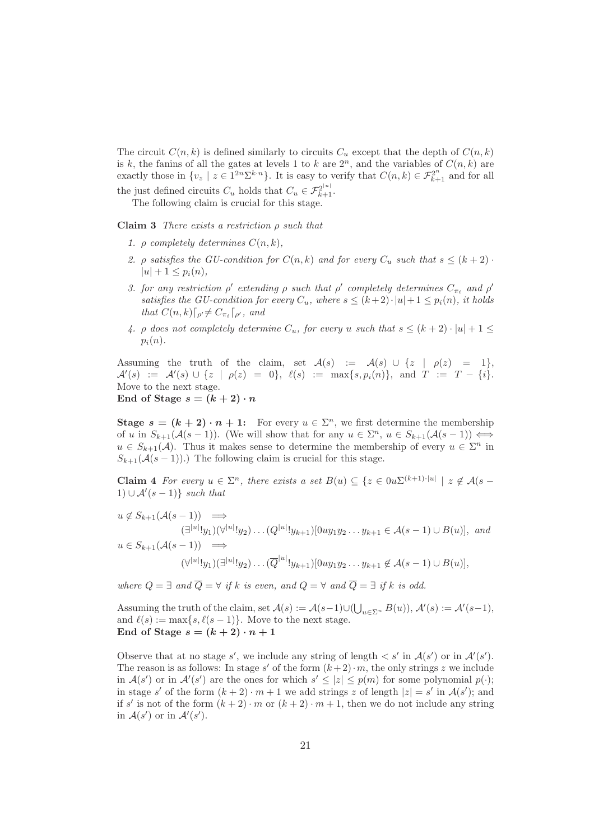The circuit  $C(n, k)$  is defined similarly to circuits  $C_u$  except that the depth of  $C(n, k)$ is k, the fanins of all the gates at levels 1 to k are  $2^n$ , and the variables of  $C(n, k)$  are exactly those in  $\{v_z \mid z \in 1^{2n} \Sigma^{k \cdot n}\}\.$  It is easy to verify that  $C(n, k) \in \mathcal{F}_{k+1}^{2^n}$  and for all the just defined circuits  $C_u$  holds that  $C_u \in \mathcal{F}_{k+1}^{2^{|u|}}$ .

The following claim is crucial for this stage.

Claim 3 There exists a restriction  $\rho$  such that

- 1.  $\rho$  completely determines  $C(n, k)$ ,
- 2. *ρ* satisfies the GU-condition for  $C(n, k)$  and for every  $C_u$  such that  $s \leq (k + 2)$ .  $|u| + 1 \leq p_i(n),$
- 3. for any restriction  $\rho'$  extending  $\rho$  such that  $\rho'$  completely determines  $C_{\pi_i}$  and  $\rho'$ satisfies the GU-condition for every  $C_u$ , where  $s \leq (k+2) \cdot |u| + 1 \leq p_i(n)$ , it holds that  $C(n,k)\lceil_{\rho'} \neq C_{\pi_i}\lceil_{\rho'},$  and
- 4.  $\rho$  does not completely determine  $C_u$ , for every u such that  $s \leq (k+2) \cdot |u| + 1 \leq$  $p_i(n)$ .

Assuming the truth of the claim, set  $\mathcal{A}(s) := \mathcal{A}(s) \cup \{z \mid \rho(z) = 1\},$  $\mathcal{A}'(s) := \mathcal{A}'(s) \cup \{z \mid \rho(z) = 0\}, \ \ell(s) := \max\{s, p_i(n)\}, \ \text{and} \ \ T := T - \{i\}.$ Move to the next stage. End of Stage  $s = (k+2) \cdot n$ 

**Stage**  $s = (k + 2) \cdot n + 1$ : For every  $u \in \Sigma^n$ , we first determine the membership of u in  $S_{k+1}(\mathcal{A}(s-1))$ . (We will show that for any  $u \in \Sigma^n$ ,  $u \in S_{k+1}(\mathcal{A}(s-1)) \Longleftrightarrow$  $u \in S_{k+1}(\mathcal{A})$ . Thus it makes sense to determine the membership of every  $u \in \Sigma^n$  in  $S_{k+1}(\mathcal{A}(s-1))$ .) The following claim is crucial for this stage.

Claim 4 For every  $u \in \Sigma^n$ , there exists a set  $B(u) \subseteq \{z \in 0u\Sigma^{(k+1)\cdot|u|} \mid z \notin A(s-\Sigma^n)\}$  $1) \cup \mathcal{A}'(s-1) \}$  such that

$$
u \notin S_{k+1}(\mathcal{A}(s-1)) \implies
$$
  
\n
$$
(\exists^{|u|}! y_1)(\forall^{|u|}! y_2) \dots (Q^{|u|}! y_{k+1}) [0uy_1y_2 \dots y_{k+1} \in \mathcal{A}(s-1) \cup B(u)], and
$$
  
\n
$$
u \in S_{k+1}(\mathcal{A}(s-1)) \implies
$$
  
\n
$$
(\forall^{|u|}! y_1)(\exists^{|u|}! y_2) \dots (\overline{Q}^{|u|}! y_{k+1}) [0uy_1y_2 \dots y_{k+1} \notin \mathcal{A}(s-1) \cup B(u)],
$$

where  $Q = \exists$  and  $\overline{Q} = \forall$  if k is even, and  $Q = \forall$  and  $\overline{Q} = \exists$  if k is odd.

Assuming the truth of the claim, set  $\mathcal{A}(s) := \mathcal{A}(s-1) \cup (\bigcup_{u \in \Sigma^n} B(u)), \mathcal{A}'(s) := \mathcal{A}'(s-1),$ and  $\ell(s) := \max\{s, \ell(s-1)\}\.$  Move to the next stage. End of Stage  $s = (k+2) \cdot n + 1$ 

Observe that at no stage s', we include any string of length  $\langle s'$  in  $\mathcal{A}(s')$  or in  $\mathcal{A}'(s')$ . The reason is as follows: In stage s' of the form  $(k+2) \cdot m$ , the only strings z we include in  $\mathcal{A}(s')$  or in  $\mathcal{A}'(s')$  are the ones for which  $s' \leq |z| \leq p(m)$  for some polynomial  $p(\cdot);$ in stage s' of the form  $(k+2) \cdot m+1$  we add strings z of length  $|z| = s'$  in  $\mathcal{A}(s')$ ; and if s' is not of the form  $(k+2) \cdot m$  or  $(k+2) \cdot m+1$ , then we do not include any string in  $\mathcal{A}(s')$  or in  $\mathcal{A}'(s')$ .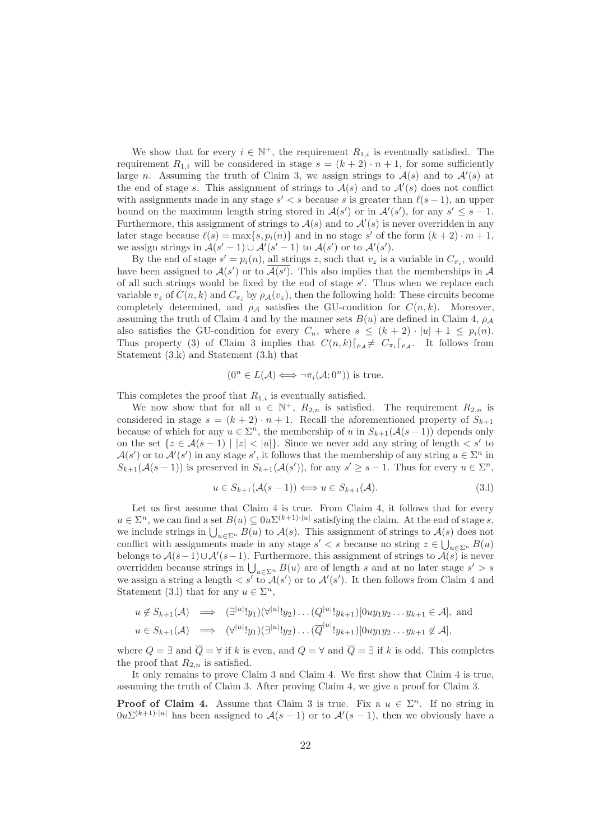We show that for every  $i \in \mathbb{N}^+$ , the requirement  $R_{1,i}$  is eventually satisfied. The requirement  $R_{1,i}$  will be considered in stage  $s = (k + 2) \cdot n + 1$ , for some sufficiently large n. Assuming the truth of Claim 3, we assign strings to  $A(s)$  and to  $A'(s)$  at the end of stage s. This assignment of strings to  $A(s)$  and to  $A'(s)$  does not conflict with assignments made in any stage  $s' < s$  because s is greater than  $\ell(s-1)$ , an upper bound on the maximum length string stored in  $\mathcal{A}(s')$  or in  $\mathcal{A}'(s')$ , for any  $s' \leq s - 1$ . Furthermore, this assignment of strings to  $A(s)$  and to  $A'(s)$  is never overridden in any later stage because  $\ell(s) = \max\{s, p_i(n)\}\$ and in no stage s' of the form  $(k+2) \cdot m + 1$ , we assign strings in  $\mathcal{A}(s'-1) \cup \mathcal{A}'(s'-1)$  to  $\mathcal{A}(s')$  or to  $\mathcal{A}'(s')$ .

By the end of stage  $s' = p_i(n)$ , all strings z, such that  $v_z$  is a variable in  $C_{\pi_i}$ , would have been assigned to  $\mathcal{A}(s')$  or to  $\mathcal{A}(s')$ . This also implies that the memberships in  $\mathcal A$ of all such strings would be fixed by the end of stage  $s'$ . Thus when we replace each variable  $v_z$  of  $C(n, k)$  and  $C_{\pi_i}$  by  $\rho_A(v_z)$ , then the following hold: These circuits become completely determined, and  $\rho_A$  satisfies the GU-condition for  $C(n, k)$ . Moreover, assuming the truth of Claim 4 and by the manner sets  $B(u)$  are defined in Claim 4,  $\rho_A$ also satisfies the GU-condition for every  $C_u$ , where  $s \leq (k+2) \cdot |u| + 1 \leq p_i(n)$ . Thus property (3) of Claim 3 implies that  $C(n,k)\vert_{\rho_{\mathcal{A}}} \neq C_{\pi_i}\vert_{\rho_{\mathcal{A}}}$ . It follows from Statement (3.k) and Statement (3.h) that

$$
(0^n \in L(\mathcal{A}) \iff \neg \pi_i(\mathcal{A}; 0^n))
$$
 is true.

This completes the proof that  $R_{1,i}$  is eventually satisfied.

We now show that for all  $n \in \mathbb{N}^+$ ,  $R_{2,n}$  is satisfied. The requirement  $R_{2,n}$  is considered in stage  $s = (k + 2) \cdot n + 1$ . Recall the aforementioned property of  $S_{k+1}$ because of which for any  $u \in \Sigma^n$ , the membership of u in  $S_{k+1}(\mathcal{A}(s-1))$  depends only on the set  $\{z \in \mathcal{A}(s-1) \mid |z| < |u|\}$ . Since we never add any string of length  $\langle s' \rangle$  to  $\mathcal{A}(s')$  or to  $\mathcal{A}'(s')$  in any stage s', it follows that the membership of any string  $u \in \Sigma^n$  in  $S_{k+1}(\mathcal{A}(s-1))$  is preserved in  $S_{k+1}(\mathcal{A}(s'))$ , for any  $s' \geq s-1$ . Thus for every  $u \in \Sigma^n$ ,

$$
u \in S_{k+1}(\mathcal{A}(s-1)) \Longleftrightarrow u \in S_{k+1}(\mathcal{A}). \tag{3.1}
$$

Let us first assume that Claim 4 is true. From Claim 4, it follows that for every  $u \in \Sigma^n$ , we can find a set  $B(u) \subseteq 0$   $u^{\sum (k+1) \cdot |u|}$  satisfying the claim. At the end of stage s, we include strings in  $\bigcup_{u\in\Sigma^n} B(u)$  to  $\mathcal{A}(s)$ . This assignment of strings to  $\mathcal{A}(s)$  does not conflict with assignments made in any stage  $s' < s$  because no string  $z \in \bigcup_{u \in \Sigma^n} B(u)$ belongs to  $\mathcal{A}(s-1) \cup \mathcal{A}'(s-1)$ . Furthermore, this assignment of strings to  $\mathcal{A}(s)$  is never overridden because strings in  $\bigcup_{u \in \sum_{n} B(u)}$  are of length s and at no later stage  $s' > s$ we assign a string a length  $\langle s' \rangle$  to  $\mathcal{A}(s')$  or to  $\mathcal{A}'(s')$ . It then follows from Claim 4 and Statement (3.1) that for any  $u \in \Sigma^n$ ,

$$
u \notin S_{k+1}(\mathcal{A}) \implies (\exists^{|u|}! y_1)(\forall^{|u|}! y_2) \dots (Q^{|u|}! y_{k+1})[0uy_1y_2 \dots y_{k+1} \in \mathcal{A}],
$$
 and  
 $u \in S_{k+1}(\mathcal{A}) \implies (\forall^{|u|}! y_1)(\exists^{|u|}! y_2) \dots (\overline{Q}^{|u|}! y_{k+1})[0uy_1y_2 \dots y_{k+1} \notin \mathcal{A}],$ 

where  $Q = \exists$  and  $\overline{Q} = \forall$  if k is even, and  $Q = \forall$  and  $\overline{Q} = \exists$  if k is odd. This completes the proof that  $R_{2,n}$  is satisfied.

It only remains to prove Claim 3 and Claim 4. We first show that Claim 4 is true, assuming the truth of Claim 3. After proving Claim 4, we give a proof for Claim 3.

**Proof of Claim 4.** Assume that Claim 3 is true. Fix a  $u \in \Sigma^n$ . If no string in  $0u^{\sum(k+1)\cdot|u|}$  has been assigned to  $\mathcal{A}(s-1)$  or to  $\mathcal{A}'(s-1)$ , then we obviously have a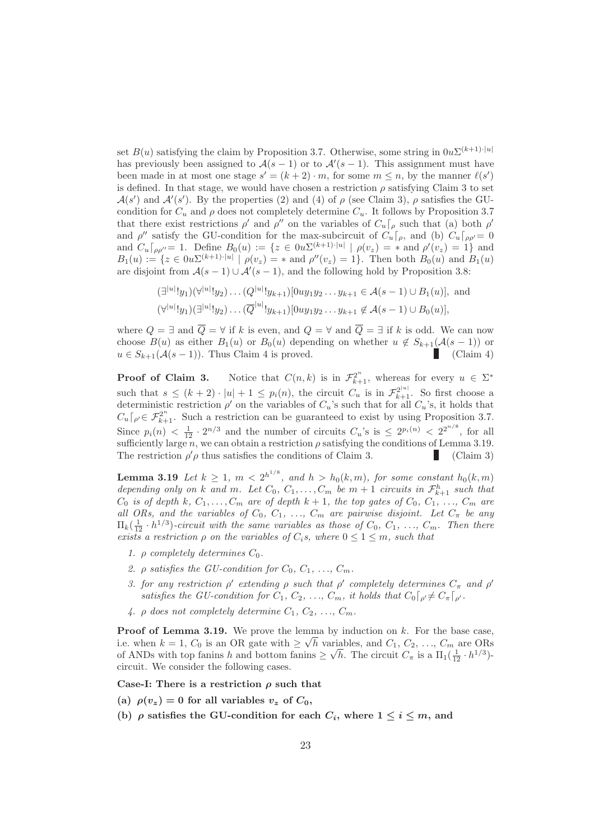set  $B(u)$  satisfying the claim by Proposition 3.7. Otherwise, some string in  $0u\Sigma^{(k+1)\cdot|u|}$ has previously been assigned to  $\mathcal{A}(s-1)$  or to  $\mathcal{A}'(s-1)$ . This assignment must have been made in at most one stage  $s' = (k+2) \cdot m$ , for some  $m \leq n$ , by the manner  $\ell(s')$ is defined. In that stage, we would have chosen a restriction  $\rho$  satisfying Claim 3 to set  $\mathcal{A}(s')$  and  $\mathcal{A}'(s')$ . By the properties (2) and (4) of  $\rho$  (see Claim 3),  $\rho$  satisfies the GUcondition for  $C_u$  and  $\rho$  does not completely determine  $C_u$ . It follows by Proposition 3.7 that there exist restrictions  $\rho'$  and  $\rho''$  on the variables of  $C_u\lceil_\rho$  such that (a) both  $\rho'$ and  $\rho''$  satisfy the GU-condition for the max-subcircuit of  $C_u\lceil_{\rho}$ , and (b)  $C_u\lceil_{\rho\rho'}=0$ and  $C_u\lceil_{\rho\rho''}=1$ . Define  $B_0(u) := \{z \in 0 \infty^{(k+1)\cdot|u|} \mid \rho(v_z) = * \text{ and } \rho'(v_z) = 1\}$  and  $B_1(u) := \{ z \in 0 \times \mathbb{Z}^{(k+1) \cdot |u|} \mid \rho(v_z) = \text{ and } \rho''(v_z) = 1 \}.$  Then both  $B_0(u)$  and  $B_1(u)$ are disjoint from  $\mathcal{A}(s-1) \cup \mathcal{A}'(s-1)$ , and the following hold by Proposition 3.8:

$$
(\exists^{|u|}! y_1)(\forall^{|u|}! y_2)\dots (Q^{|u|}! y_{k+1})[0uy_1y_2\dots y_{k+1}\in \mathcal{A}(s-1)\cup B_1(u)], \text{ and}
$$
  

$$
(\forall^{|u|}! y_1)(\exists^{|u|}! y_2)\dots(\overline{Q}^{|u|}! y_{k+1})[0uy_1y_2\dots y_{k+1}\notin \mathcal{A}(s-1)\cup B_0(u)],
$$

where  $Q = \exists$  and  $\overline{Q} = \forall$  if k is even, and  $Q = \forall$  and  $\overline{Q} = \exists$  if k is odd. We can now choose  $B(u)$  as either  $B_1(u)$  or  $B_0(u)$  depending on whether  $u \notin S_{k+1}(\mathcal{A}(s-1))$  or  $u \in S_{k+1}(\mathcal{A}(s-1))$ . Thus Claim 4 is proved.  $u \in S_{k+1}(\mathcal{A}(s-1))$ . Thus Claim 4 is proved.

**Proof of Claim 3.** Notice that  $C(n,k)$  is in  $\mathcal{F}_{k+1}^{2^n}$ , whereas for every  $u \in \Sigma^*$ such that  $s \leq (k+2) \cdot |u| + 1 \leq p_i(n)$ , the circuit  $C_u$  is in  $\mathcal{F}_{k+1}^{2^{|u|}}$ . So first choose a deterministic restriction  $\rho'$  on the variables of  $C_u$ 's such that for all  $C_u$ 's, it holds that  $C_u\big[\rho \in \mathcal{F}_{k+1}^{2^n}$ . Such a restriction can be guaranteed to exist by using Proposition 3.7. Since  $p_i(n) < \frac{1}{12} \cdot 2^{n/3}$  and the number of circuits  $C_u$ 's is  $\leq 2^{p_i(n)} < 2^{2^{n/8}}$ , for all sufficiently large n, we can obtain a restriction  $\rho$  satisfying the conditions of Lemma 3.19. The restriction  $\rho' \rho$  thus satisfies the conditions of Claim 3. (Claim 3)

**Lemma 3.19** Let  $k \geq 1$ ,  $m \leq 2^{h^{1/8}}$ , and  $h > h_0(k,m)$ , for some constant  $h_0(k,m)$ depending only on k and m. Let  $C_0, C_1, \ldots, C_m$  be  $m+1$  circuits in  $\mathcal{F}_{k+1}^h$  such that  $C_0$  is of depth k,  $C_1, \ldots, C_m$  are of depth  $k + 1$ , the top gates of  $C_0, C_1, \ldots, C_m$  are all ORs, and the variables of  $C_0$ ,  $C_1$ , ...,  $C_m$  are pairwise disjoint. Let  $C_{\pi}$  be any  $\Pi_k(\frac{1}{12} \cdot h^{1/3})$ -circuit with the same variables as those of  $C_0, C_1, \ldots, C_m$ . Then there exists a restriction  $\rho$  on the variables of  $C_i$ s, where  $0 \leq 1 \leq m$ , such that

- 1.  $\rho$  completely determines  $C_0$ .
- 2.  $\rho$  satisfies the GU-condition for  $C_0, C_1, \ldots, C_m$ .
- 3. for any restriction  $\rho'$  extending  $\rho$  such that  $\rho'$  completely determines  $C_{\pi}$  and  $\rho'$ satisfies the GU-condition for  $C_1, C_2, \ldots, C_m$ , it holds that  $C_0\lceil_{\rho'} \neq C_{\pi}\lceil_{\rho'}$ .
- 4.  $\rho$  does not completely determine  $C_1, C_2, \ldots, C_m$ .

**Proof of Lemma 3.19.** We prove the lemma by induction on  $k$ . For the base case, i.e. when  $k = 1$ ,  $C_0$  is an OR gate with  $\geq \sqrt{h}$  variables, and  $C_1$ ,  $C_2$ , ...,  $C_m$  are ORs of ANDs with top fanins h and bottom fanins  $\geq \sqrt{h}$ . The circuit  $C_{\pi}$  is a  $\Pi_1(\frac{1}{12} \cdot h^{1/3})$ circuit. We consider the following cases.

Case-I: There is a restriction  $\rho$  such that

- (a)  $\rho(v_z) = 0$  for all variables  $v_z$  of  $C_0$ ,
- (b)  $\rho$  satisfies the GU-condition for each  $C_i$ , where  $1 \leq i \leq m$ , and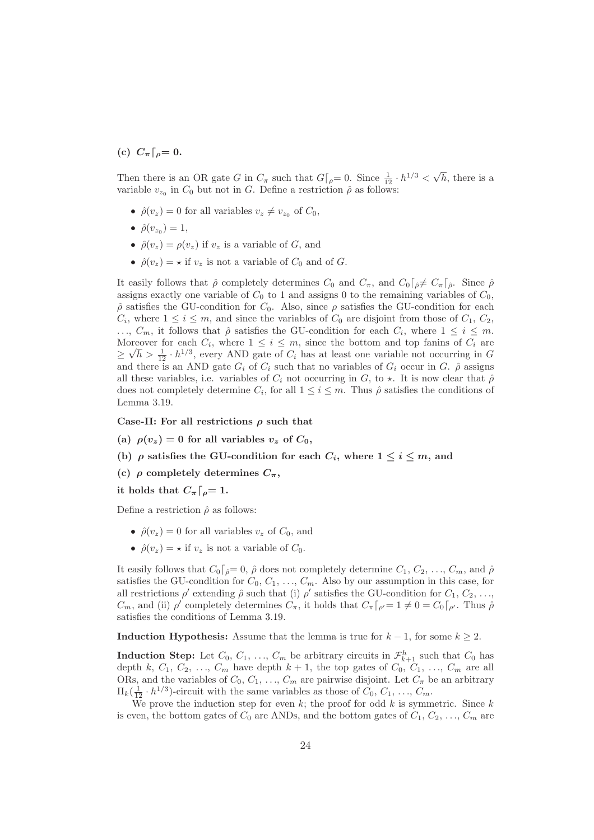(c)  $C_{\pi} \lceil_{\rho} = 0.$ 

Then there is an OR gate G in  $C_{\pi}$  such that  $G|_{\rho} = 0$ . Since  $\frac{1}{12} \cdot h^{1/3} < \sqrt{h}$ , there is a variable  $v_{z_0}$  in  $C_0$  but not in G. Define a restriction  $\hat{\rho}$  as follows:

- $\hat{\rho}(v_z) = 0$  for all variables  $v_z \neq v_{z_0}$  of  $C_0$ ,
- $\hat{\rho}(v_{z_0}) = 1$ ,
- $\hat{\rho}(v_z) = \rho(v_z)$  if  $v_z$  is a variable of G, and
- $\hat{\rho}(v_z) = \star$  if  $v_z$  is not a variable of  $C_0$  and of  $G$ .

It easily follows that  $\hat{\rho}$  completely determines  $C_0$  and  $C_{\pi}$ , and  $C_0\lceil_{\hat{\rho}}\neq C_{\pi}\rceil_{\hat{\rho}}$ . Since  $\hat{\rho}$ assigns exactly one variable of  $C_0$  to 1 and assigns 0 to the remaining variables of  $C_0$ ,  $\rho$  satisfies the GU-condition for  $C_0$ . Also, since  $\rho$  satisfies the GU-condition for each  $C_i$ , where  $1 \leq i \leq m$ , and since the variables of  $C_0$  are disjoint from those of  $C_1$ ,  $C_2$ ,  $\ldots, C_m$ , it follows that  $\hat{\rho}$  satisfies the GU-condition for each  $C_i$ , where  $1 \leq i \leq m$ . Moreover for each  $C_i$ , where  $1 \leq i \leq m$ , since the bottom and top fanins of  $C_i$  are ≥  $\sqrt{h} > \frac{1}{12} \cdot h^{1/3}$ , every AND gate of  $C_i$  has at least one variable not occurring in G and there is an AND gate  $G_i$  of  $C_i$  such that no variables of  $G_i$  occur in  $G_i$ .  $\hat{\rho}$  assigns all these variables, i.e. variables of  $C_i$  not occurring in  $G$ , to  $\star$ . It is now clear that  $\hat{\rho}$ does not completely determine  $C_i$ , for all  $1 \leq i \leq m$ . Thus  $\hat{\rho}$  satisfies the conditions of Lemma 3.19.

Case-II: For all restrictions  $\rho$  such that

- (a)  $\rho(v_z) = 0$  for all variables  $v_z$  of  $C_0$ ,
- (b)  $\rho$  satisfies the GU-condition for each  $C_i$ , where  $1 \leq i \leq m$ , and
- (c)  $\rho$  completely determines  $C_{\pi}$ ,

it holds that  $C_{\pi} \lceil_{\rho} = 1$ .

Define a restriction  $\hat{\rho}$  as follows:

- $\hat{\rho}(v_z) = 0$  for all variables  $v_z$  of  $C_0$ , and
- $\hat{\rho}(v_z) = \star$  if  $v_z$  is not a variable of  $C_0$ .

It easily follows that  $C_0\lceil_{\hat{\rho}}=0$ ,  $\hat{\rho}$  does not completely determine  $C_1, C_2, \ldots, C_m$ , and  $\hat{\rho}$ satisfies the GU-condition for  $C_0, C_1, \ldots, C_m$ . Also by our assumption in this case, for all restrictions  $\rho'$  extending  $\hat{\rho}$  such that (i)  $\rho'$  satisfies the GU-condition for  $C_1, C_2, \ldots$  $C_m$ , and (ii)  $\rho'$  completely determines  $C_{\pi}$ , it holds that  $C_{\pi} \lceil_{\rho'} = 1 \neq 0 = C_0 \lceil_{\rho'}$ . Thus  $\hat{\rho}$ satisfies the conditions of Lemma 3.19.

**Induction Hypothesis:** Assume that the lemma is true for  $k - 1$ , for some  $k \ge 2$ .

**Induction Step:** Let  $C_0, C_1, ..., C_m$  be arbitrary circuits in  $\mathcal{F}_{k+1}^h$  such that  $C_0$  has depth k,  $C_1, C_2, \ldots, C_m$  have depth  $k + 1$ , the top gates of  $C_0, C_1, \ldots, C_m$  are all ORs, and the variables of  $C_0, C_1, ..., C_m$  are pairwise disjoint. Let  $C_{\pi}$  be an arbitrary  $\Pi_k(\frac{1}{12} \cdot h^{1/3})$ -circuit with the same variables as those of  $C_0, C_1, \ldots, C_m$ .

We prove the induction step for even k; the proof for odd k is symmetric. Since k is even, the bottom gates of  $C_0$  are ANDs, and the bottom gates of  $C_1, C_2, \ldots, C_m$  are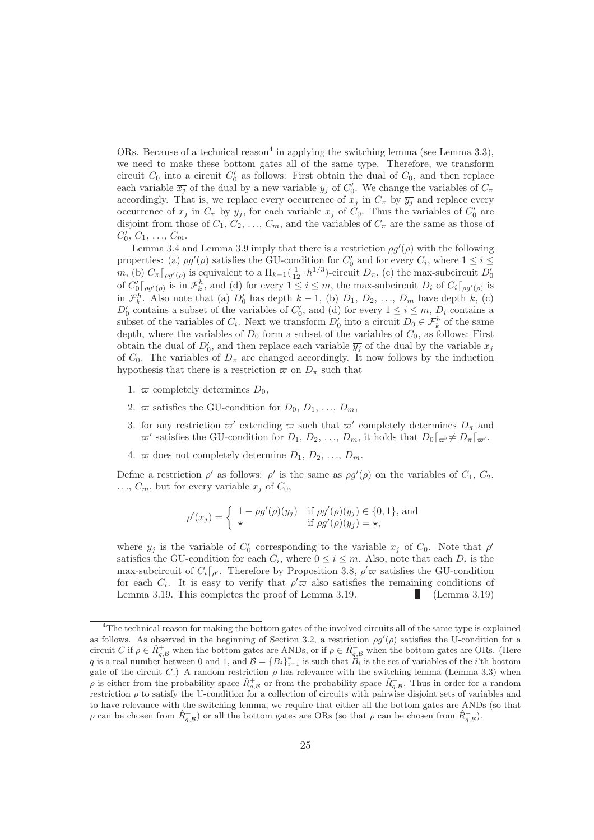ORs. Because of a technical reason<sup>4</sup> in applying the switching lemma (see Lemma 3.3), we need to make these bottom gates all of the same type. Therefore, we transform circuit  $C_0$  into a circuit  $C_0'$  as follows: First obtain the dual of  $C_0$ , and then replace each variable  $\overline{x_j}$  of the dual by a new variable  $y_j$  of  $C'_0$ . We change the variables of  $C_\pi$ accordingly. That is, we replace every occurrence of  $x_j$  in  $C_\pi$  by  $\overline{y_j}$  and replace every occurrence of  $\overline{x_j}$  in  $C_{\pi}$  by  $y_j$ , for each variable  $x_j$  of  $C_0$ . Thus the variables of  $C'_0$  are disjoint from those of  $C_1, C_2, \ldots, C_m$ , and the variables of  $C_{\pi}$  are the same as those of  $C'_0, C_1, \ldots, C_m.$ 

Lemma 3.4 and Lemma 3.9 imply that there is a restriction  $\rho g'(\rho)$  with the following properties: (a)  $\rho g'(\rho)$  satisfies the GU-condition for  $C'_0$  and for every  $C_i$ , where  $1 \leq i \leq j$ m, (b)  $C_{\pi} \lceil_{\rho g'(\rho)}$  is equivalent to a  $\Pi_{k-1}(\frac{1}{12} \cdot h^{1/3})$ -circuit  $D_{\pi}$ , (c) the max-subcircuit  $D'_{0}$ of  $C'_0\big[\rho g'(\rho)\right]$  is in  $\mathcal{F}_k^h$ , and (d) for every  $1 \leq i \leq m$ , the max-subcircuit  $D_i$  of  $C_i\big[\rho g'(\rho)\right]$  is in  $\mathcal{F}_k^h$ . Also note that (a)  $D'_0$  has depth  $k-1$ , (b)  $D_1, D_2, ..., D_m$  have depth k, (c)  $D'_0$  contains a subset of the variables of  $C'_0$ , and (d) for every  $1 \leq i \leq m$ ,  $D_i$  contains a subset of the variables of  $C_i$ . Next we transform  $D'_0$  into a circuit  $D_0 \in \mathcal{F}_k^h$  of the same depth, where the variables of  $D_0$  form a subset of the variables of  $C_0$ , as follows: First obtain the dual of  $D'_0$ , and then replace each variable  $\overline{y_j}$  of the dual by the variable  $x_j$ of  $C_0$ . The variables of  $D_{\pi}$  are changed accordingly. It now follows by the induction hypothesis that there is a restriction  $\varpi$  on  $D_{\pi}$  such that

- 1.  $\varpi$  completely determines  $D_0$ ,
- 2.  $\varpi$  satisfies the GU-condition for  $D_0, D_1, \ldots, D_m$ .
- 3. for any restriction  $\omega'$  extending  $\omega$  such that  $\omega'$  completely determines  $D_{\pi}$  and  $\varpi'$  satisfies the GU-condition for  $D_1, D_2, \ldots, D_m$ , it holds that  $D_0 \lceil_{\varpi'} \neq D_{\pi} \lceil_{\varpi'}$ .
- 4.  $\varpi$  does not completely determine  $D_1, D_2, \ldots, D_m$ .

Define a restriction  $\rho'$  as follows:  $\rho'$  is the same as  $\rho g'(\rho)$  on the variables of  $C_1, C_2,$  $\ldots, C_m$ , but for every variable  $x_i$  of  $C_0$ ,

$$
\rho'(x_j) = \begin{cases} 1 - \rho g'(\rho)(y_j) & \text{if } \rho g'(\rho)(y_j) \in \{0, 1\}, \text{ and} \\ \star & \text{if } \rho g'(\rho)(y_j) = \star, \end{cases}
$$

where  $y_j$  is the variable of  $C'_0$  corresponding to the variable  $x_j$  of  $C_0$ . Note that  $\rho'$ satisfies the GU-condition for each  $C_i$ , where  $0 \le i \le m$ . Also, note that each  $D_i$  is the max-subcircuit of  $C_i\lceil_{\rho'}$ . Therefore by Proposition 3.8,  $\rho'\varpi$  satisfies the GU-condition for each  $C_i$ . It is easy to verify that  $\rho' \varpi$  also satisfies the remaining conditions of Lemma 3.19. This completes the proof of Lemma 3.19. (Lemma 3.19)

<sup>&</sup>lt;sup>4</sup>The technical reason for making the bottom gates of the involved circuits all of the same type is explained as follows. As observed in the beginning of Section 3.2, a restriction  $\rho g'(\rho)$  satisfies the U-condition for a circuit C if  $\rho \in \hat{R}^+_{q,B}$  when the bottom gates are ANDs, or if  $\rho \in \hat{R}^-_{q,B}$  when the bottom gates are ORs. (Here q is a real number between 0 and 1, and  $\mathcal{B} = \{B_i\}_{i=1}^r$  is such that  $\overrightarrow{B_i}$  is the set of variables of the *i*'th bottom gate of the circuit C.) A random restriction  $\rho$  has relevance with the switching lemma (Lemma 3.3) when  $\rho$  is either from the probability space  $\hat{R}^+_{q,B}$  or from the probability space  $\hat{R}^+_{q,B}$ . Thus in order for a random restriction  $\rho$  to satisfy the U-condition for a collection of circuits with pairwise disjoint sets of variables and to have relevance with the switching lemma, we require that either all the bottom gates are ANDs (so that  $\rho$  can be chosen from  $\hat{R}^+_{q,\mathcal{B}}$  or all the bottom gates are ORs (so that  $\rho$  can be chosen from  $\hat{R}^-_{q,\mathcal{B}}$ ).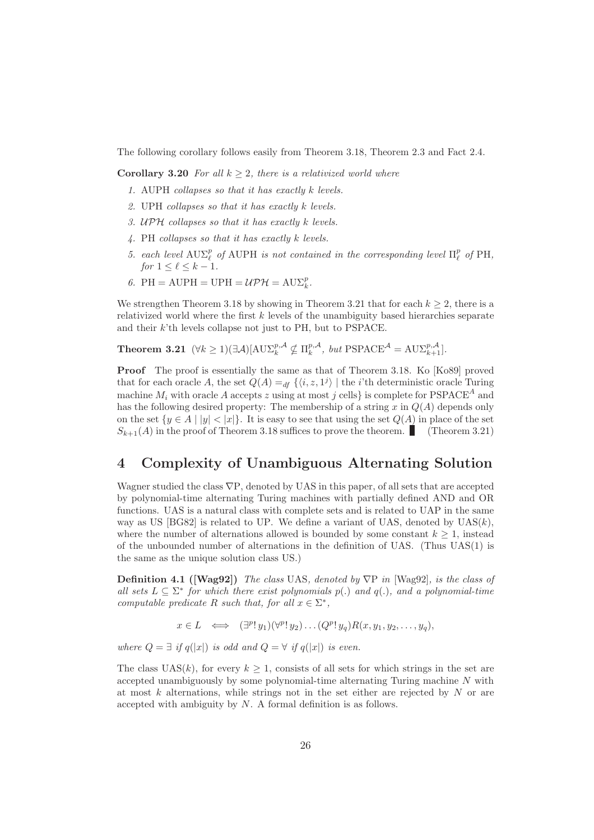The following corollary follows easily from Theorem 3.18, Theorem 2.3 and Fact 2.4.

**Corollary 3.20** For all  $k > 2$ , there is a relativized world where

- 1. AUPH collapses so that it has exactly k levels.
- 2. UPH collapses so that it has exactly k levels.
- 3. UPH collapses so that it has exactly k levels.
- 4. PH collapses so that it has exactly k levels.
- 5. each level  $AUE_{\ell}^p$  of AUPH is not contained in the corresponding level  $\Pi_{\ell}^p$  of PH, for  $1 \leq \ell \leq k-1$ .
- 6. PH = AUPH = UPH =  $\mathcal{UPH} = \mathcal{UPH} = \text{A}\text{U}\Sigma_k^p$ .

We strengthen Theorem 3.18 by showing in Theorem 3.21 that for each  $k \geq 2$ , there is a relativized world where the first k levels of the unambiguity based hierarchies separate and their  $k$ 'th levels collapse not just to PH, but to PSPACE.

**Theorem 3.21** 
$$
(\forall k \ge 1)(\exists \mathcal{A})[\text{A}\text{U}\Sigma_k^{p,\mathcal{A}} \nsubseteq \Pi_k^{p,\mathcal{A}}, \text{ but } \text{PSPACE}^{\mathcal{A}} = \text{A}\text{U}\Sigma_{k+1}^{p,\mathcal{A}}].
$$

Proof The proof is essentially the same as that of Theorem 3.18. Ko [Ko89] proved that for each oracle A, the set  $Q(A) =_{df} \{ \langle i, z, 1^j \rangle \mid \text{the } i \text{'th deterministic oracle Turing} \}$ machine  $M_i$  with oracle A accepts z using at most j cells} is complete for PSPACE<sup>A</sup> and has the following desired property: The membership of a string  $x$  in  $Q(A)$  depends only on the set  $\{y \in A \mid |y| < |x|\}$ . It is easy to see that using the set  $Q(A)$  in place of the set  $S_{k+1}(A)$  in the proof of Theorem 3.18 suffices to prove the theorem. (Theorem 3.21)

## 4 Complexity of Unambiguous Alternating Solution

Wagner studied the class  $\nabla P$ , denoted by UAS in this paper, of all sets that are accepted by polynomial-time alternating Turing machines with partially defined AND and OR functions. UAS is a natural class with complete sets and is related to UAP in the same way as US  $[BG82]$  is related to UP. We define a variant of UAS, denoted by  $UAS(k)$ , where the number of alternations allowed is bounded by some constant  $k \geq 1$ , instead of the unbounded number of alternations in the definition of UAS. (Thus UAS(1) is the same as the unique solution class US.)

**Definition 4.1** ([Wag92]) The class UAS, denoted by  $\nabla P$  in [Wag92], is the class of all sets  $L \subseteq \Sigma^*$  for which there exist polynomials  $p(.)$  and  $q(.)$ , and a polynomial-time computable predicate R such that, for all  $x \in \Sigma^*$ ,

$$
x \in L \iff (\exists^p! y_1)(\forall^p! y_2) \dots (Q^p! y_q) R(x, y_1, y_2, \dots, y_q),
$$

where  $Q = \exists$  if  $q(|x|)$  is odd and  $Q = \forall$  if  $q(|x|)$  is even.

The class  $\text{UAS}(k)$ , for every  $k \geq 1$ , consists of all sets for which strings in the set are accepted unambiguously by some polynomial-time alternating Turing machine N with at most  $k$  alternations, while strings not in the set either are rejected by  $N$  or are accepted with ambiguity by N. A formal definition is as follows.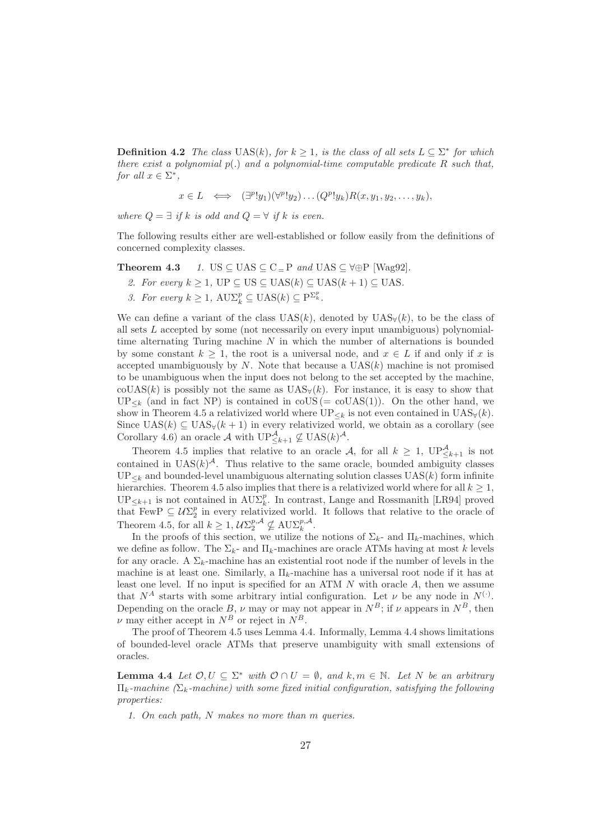**Definition 4.2** The class UAS(k), for  $k \ge 1$ , is the class of all sets  $L \subseteq \sum^*$  for which there exist a polynomial  $p(.)$  and a polynomial-time computable predicate R such that, for all  $x \in \Sigma^*$ ,

$$
x \in L \iff (\exists^p! y_1)(\forall^p! y_2) \dots (Q^p! y_k) R(x, y_1, y_2, \dots, y_k),
$$

where  $Q = \exists$  if k is odd and  $Q = \forall$  if k is even.

The following results either are well-established or follow easily from the definitions of concerned complexity classes.

**Theorem 4.3** 1. US  $\subseteq$  UAS  $\subseteq$  C<sub>=</sub>P and UAS  $\subseteq$   $\forall \oplus$ P [Wag92].

- 2. For every  $k > 1$ , UP  $\subset$  US  $\subset$  UAS( $k$ )  $\subset$  UAS( $k + 1$ )  $\subset$  UAS.
- 3. For every  $k \geq 1$ ,  $\text{AUX}_k^p \subseteq \text{UAS}(k) \subseteq \text{P}^{\Sigma_k^p}$ .

We can define a variant of the class  $UAS(k)$ , denoted by  $UAS_{\forall}(k)$ , to be the class of all sets L accepted by some (not necessarily on every input unambiguous) polynomialtime alternating Turing machine  $N$  in which the number of alternations is bounded by some constant  $k \geq 1$ , the root is a universal node, and  $x \in L$  if and only if x is accepted unambiguously by  $N$ . Note that because a  $UAS(k)$  machine is not promised to be unambiguous when the input does not belong to the set accepted by the machine,  $\text{coUAS}(k)$  is possibly not the same as  $\text{UAS}_{\mathcal{V}}(k)$ . For instance, it is easy to show that  $UP_{\leq k}$  (and in fact NP) is contained in coUS (= coUAS(1)). On the other hand, we show in Theorem 4.5 a relativized world where  $UP_{\leq k}$  is not even contained in  $UAS_{\forall}(k)$ . Since  $UAS(k) \subseteq UAS_{\forall}(k+1)$  in every relativized world, we obtain as a corollary (see Corollary 4.6) an oracle  $\mathcal A$  with  $\mathbf{UP}^{\mathcal A}_{\le k+1}\nsubseteq \mathbf{UAS}(k)^{\mathcal A}$ .

Theorem 4.5 implies that relative to an oracle A, for all  $k \geq 1$ ,  $UP_{\leq k+1}^{\mathcal{A}}$  is not contained in  $UAS(k)^{\mathcal{A}}$ . Thus relative to the same oracle, bounded ambiguity classes  $UP_{\leq k}$  and bounded-level unambiguous alternating solution classes UAS(k) form infinite hierarchies. Theorem 4.5 also implies that there is a relativized world where for all  $k \geq 1$ ,  $UP_{\leq k+1}$  is not contained in  $AU\Sigma_k^p$ . In contrast, Lange and Rossmanith [LR94] proved that FewP  $\subseteq U\Sigma_2^p$  in every relativized world. It follows that relative to the oracle of Theorem 4.5, for all  $k \geq 1$ ,  $\mathcal{U}\Sigma_2^{p,\mathcal{A}} \nsubseteq \text{AUX}_k^{p,\mathcal{A}}$ .

In the proofs of this section, we utilize the notions of  $\Sigma_k$ - and  $\Pi_k$ -machines, which we define as follow. The  $\Sigma_k$ - and  $\Pi_k$ -machines are oracle ATMs having at most k levels for any oracle. A  $\Sigma_k$ -machine has an existential root node if the number of levels in the machine is at least one. Similarly, a  $\Pi_k$ -machine has a universal root node if it has at least one level. If no input is specified for an ATM  $N$  with oracle  $A$ , then we assume that  $N^A$  starts with some arbitrary intial configuration. Let  $\nu$  be any node in  $N^{(\cdot)}$ . Depending on the oracle B,  $\nu$  may or may not appear in  $N^B$ ; if  $\nu$  appears in  $N^B$ , then  $\nu$  may either accept in  $N^B$  or reject in  $N^B$ .

The proof of Theorem 4.5 uses Lemma 4.4. Informally, Lemma 4.4 shows limitations of bounded-level oracle ATMs that preserve unambiguity with small extensions of oracles.

**Lemma 4.4** Let  $\mathcal{O}, U \subseteq \Sigma^*$  with  $\mathcal{O} \cap U = \emptyset$ , and  $k, m \in \mathbb{N}$ . Let N be an arbitrary  $\Pi_k$ -machine ( $\Sigma_k$ -machine) with some fixed initial configuration, satisfying the following properties:

1. On each path, N makes no more than m queries.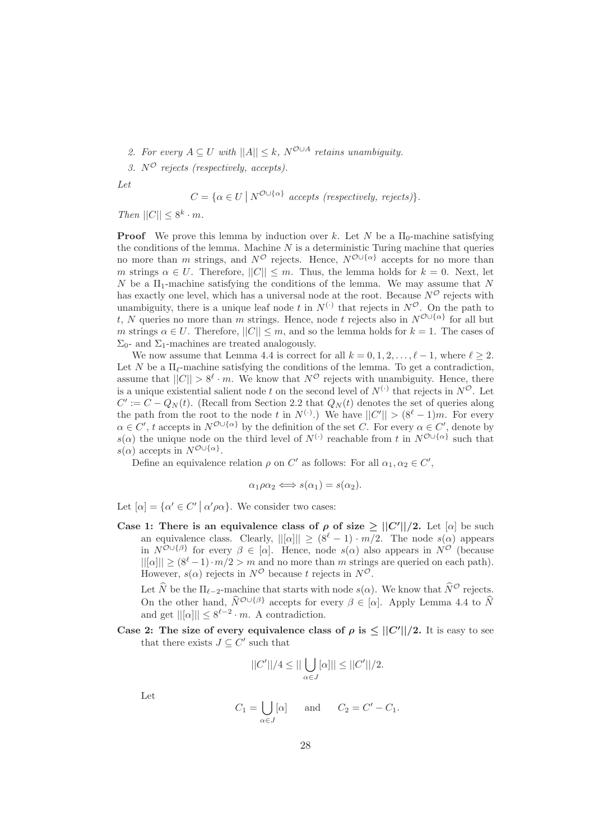2. For every  $A \subseteq U$  with  $||A|| \leq k$ ,  $N^{\mathcal{O} \cup A}$  retains unambiguity.

3.  $N^{\mathcal{O}}$  rejects (respectively, accepts).

Let

$$
C = \{ \alpha \in U \mid N^{\mathcal{O} \cup \{\alpha\}} \text{ accepts (respectively, rejects)} \}.
$$

Then  $||C|| \leq 8^k \cdot m$ .

**Proof** We prove this lemma by induction over k. Let N be a  $\Pi_0$ -machine satisfying the conditions of the lemma. Machine  $N$  is a deterministic Turing machine that queries no more than m strings, and  $N^{\mathcal{O}}$  rejects. Hence,  $N^{\mathcal{O}\cup\{\alpha\}}$  accepts for no more than m strings  $\alpha \in U$ . Therefore,  $||C|| \leq m$ . Thus, the lemma holds for  $k = 0$ . Next, let  $N$  be a  $\Pi_1$ -machine satisfying the conditions of the lemma. We may assume that  $N$ has exactly one level, which has a universal node at the root. Because  $N^{\mathcal{O}}$  rejects with unambiguity, there is a unique leaf node t in  $N^{(\cdot)}$  that rejects in  $N^{\mathcal{O}}$ . On the path to t, N queries no more than m strings. Hence, node t rejects also in  $N^{\mathcal{O}\cup\{\alpha\}}$  for all but m strings  $\alpha \in U$ . Therefore,  $||C|| \leq m$ , and so the lemma holds for  $k = 1$ . The cases of  $\Sigma_0$ - and  $\Sigma_1$ -machines are treated analogously.

We now assume that Lemma 4.4 is correct for all  $k = 0, 1, 2, \ldots, \ell - 1$ , where  $\ell \geq 2$ . Let N be a  $\Pi_{\ell}$ -machine satisfying the conditions of the lemma. To get a contradiction, assume that  $||C|| > 8^{\ell} \cdot m$ . We know that  $N^{\mathcal{O}}$  rejects with unambiguity. Hence, there is a unique existential salient node t on the second level of  $N^{(\cdot)}$  that rejects in  $N^{\mathcal{O}}$ . Let  $C' := C - Q_N(t)$ . (Recall from Section 2.2 that  $Q_N(t)$  denotes the set of queries along the path from the root to the node t in  $N^{(\cdot)}$ .) We have  $||C'|| > (8^{\ell}-1)m$ . For every  $\alpha \in C'$ , t accepts in  $N^{\mathcal{O}\cup\{\alpha\}}$  by the definition of the set C. For every  $\alpha \in C'$ , denote by s( $\alpha$ ) the unique node on the third level of  $N^{(.)}$  reachable from t in  $N^{O \cup {\{\alpha\}}}$  such that  $s(\alpha)$  accepts in  $N^{\mathcal{O}\cup {\{\alpha\}}}.$ 

Define an equivalence relation  $\rho$  on  $C'$  as follows: For all  $\alpha_1, \alpha_2 \in C'$ ,

$$
\alpha_1 \rho \alpha_2 \Longleftrightarrow s(\alpha_1) = s(\alpha_2).
$$

Let  $[\alpha] = {\alpha' \in C' \mid \alpha' \rho \alpha}$ . We consider two cases:

Case 1: There is an equivalence class of  $\rho$  of size  $\geq ||C'||/2$ . Let  $[\alpha]$  be such an equivalence class. Clearly,  $||[\alpha]|| \geq (8^{\ell} - 1) \cdot m/2$ . The node  $s(\alpha)$  appears in  $N^{\mathcal{O} \cup \{\beta\}}$  for every  $\beta \in [\alpha]$ . Hence, node  $s(\alpha)$  also appears in  $N^{\mathcal{O}}$  (because  $||[\alpha]|| \geq (8^{\ell}-1) \cdot m/2 > m$  and no more than m strings are queried on each path). However,  $s(\alpha)$  rejects in  $N^{\mathcal{O}}$  because t rejects in  $N^{\mathcal{O}}$ .

Let  $\widehat{N}$  be the  $\Pi_{\ell-2}$ -machine that starts with node  $s(\alpha)$ . We know that  $\widehat{N}^{\mathcal{O}}$  rejects. On the other hand,  $\hat{N}^{O \cup \{\beta\}}$  accepts for every  $\beta \in [\alpha]$ . Apply Lemma 4.4 to  $\hat{N}$ and get  $||[\alpha]|| \leq 8^{\ell-2} \cdot m$ . A contradiction.

Case 2: The size of every equivalence class of  $\rho$  is  $\leq ||C'||/2$ . It is easy to see that there exists  $J \subseteq C'$  such that

$$
||C'||/4 \le ||\bigcup_{\alpha \in J} [\alpha]|| \le ||C'||/2.
$$

Let

$$
C_1 = \bigcup_{\alpha \in J} [\alpha] \quad \text{and} \quad C_2 = C' - C_1.
$$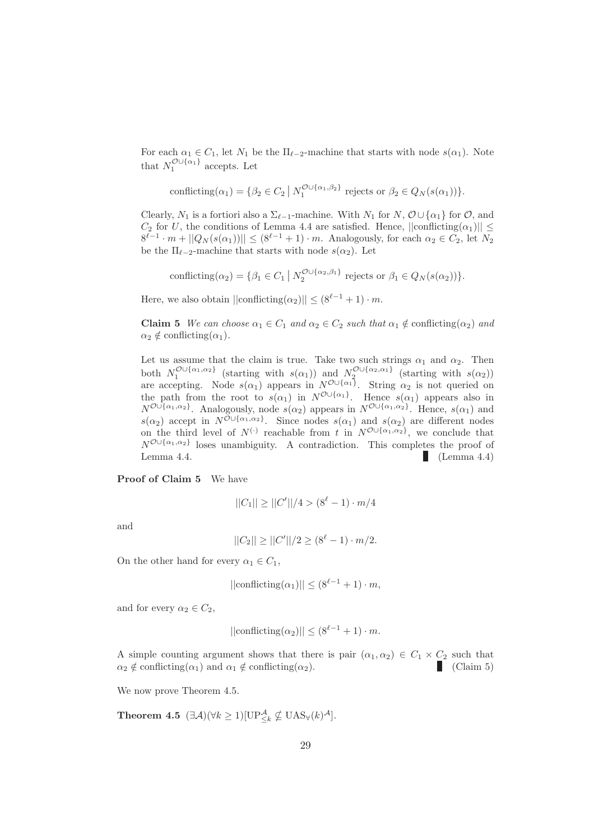For each  $\alpha_1 \in C_1$ , let  $N_1$  be the  $\Pi_{\ell-2}$ -machine that starts with node  $s(\alpha_1)$ . Note that  $N_1^{\mathcal{O}\cup\{\alpha_1\}}$  accepts. Let

conficting
$$
(\alpha_1)
$$
 = { $\beta_2 \in C_2 | N_1^{\mathcal{O} \cup {\{\alpha_1, \beta_2\}}}$  rejects or  $\beta_2 \in Q_N(s(\alpha_1))$  }.

Clearly,  $N_1$  is a fortiori also a  $\Sigma_{\ell-1}$ -machine. With  $N_1$  for  $N$ ,  $\mathcal{O} \cup {\alpha_1}$  for  $\mathcal{O}$ , and  $C_2$  for U, the conditions of Lemma 4.4 are satisfied. Hence,  $||\text{conficting}(\alpha_1)|| \le$  $8^{\ell-1} \cdot m + ||Q_N(s(\alpha_1))|| \le (8^{\ell-1} + 1) \cdot m$ . Analogously, for each  $\alpha_2 \in C_2$ , let  $N_2$ be the  $\Pi_{\ell-2}$ -machine that starts with node  $s(\alpha_2)$ . Let

conflicting( $\alpha_2$ ) = { $\beta_1 \in C_1 | N_2^{\mathcal{O} \cup {\{\alpha_2, \beta_1\}}}$  rejects or  $\beta_1 \in Q_N(s(\alpha_2))$ }.

Here, we also obtain  $||\text{conficting}(\alpha_2)|| \leq (8^{\ell-1} + 1) \cdot m$ .

**Claim 5** We can choose  $\alpha_1 \in C_1$  and  $\alpha_2 \in C_2$  such that  $\alpha_1 \notin$  conflicting( $\alpha_2$ ) and  $\alpha_2 \notin \text{conficting}(\alpha_1).$ 

Let us assume that the claim is true. Take two such strings  $\alpha_1$  and  $\alpha_2$ . Then both  $N_1^{\mathcal{O}\cup\{\alpha_1,\alpha_2\}}$  (starting with  $s(\alpha_1)$ ) and  $N_2^{\mathcal{O}\cup\{\alpha_2,\alpha_1\}}$  (starting with  $s(\alpha_2)$ ) are accepting. Node  $s(\alpha_1)$  appears in  $N^{\mathcal{O}\cup{\{\alpha_1\}}}$ . String  $\alpha_2$  is not queried on the path from the root to  $s(\alpha_1)$  in  $N^{\mathcal{O}\cup{\{\alpha_1\}}}$ . Hence  $s(\alpha_1)$  appears also in  $N^{\mathcal{O}\cup\{\alpha_1,\alpha_2\}}$ . Analogously, node  $s(\alpha_2)$  appears in  $N^{\mathcal{O}\cup\{\alpha_1,\alpha_2\}}$ . Hence,  $s(\alpha_1)$  and  $s(\alpha_2)$  accept in  $N^{\mathcal{O}\cup{\{\alpha_1,\alpha_2\}}}$ . Since nodes  $s(\alpha_1)$  and  $s(\alpha_2)$  are different nodes on the third level of  $N^{(.)}$  reachable from t in  $N^{O \cup {\alpha_1, \alpha_2}}$ , we conclude that  $N^{\mathcal{O}\cup \{\alpha_1,\alpha_2\}}$  loses unambiguity. A contradiction. This completes the proof of Lemma 4.4. (Lemma 4.4)

Proof of Claim 5 We have

$$
||C_1|| \ge ||C'||/4 > (8^{\ell} - 1) \cdot m/4
$$

and

$$
||C_2|| \ge ||C'||/2 \ge (8^{\ell} - 1) \cdot m/2.
$$

On the other hand for every  $\alpha_1 \in C_1$ ,

$$
||conficting(\alpha_1)|| \le (8^{\ell-1} + 1) \cdot m,
$$

and for every  $\alpha_2 \in C_2$ ,

$$
||conficting(\alpha_2)|| \le (8^{\ell-1} + 1) \cdot m.
$$

A simple counting argument shows that there is pair  $(\alpha_1, \alpha_2) \in C_1 \times C_2$  such that  $\alpha_2 \notin \text{conficting}(\alpha_1)$  and  $\alpha_1 \notin \text{conficting}(\alpha_2)$ .  $\alpha_2 \notin \text{conficting}(\alpha_1)$  and  $\alpha_1 \notin \text{conficting}(\alpha_2)$ .

We now prove Theorem 4.5.

**Theorem 4.5**  $(\exists \mathcal{A})(\forall k \geq 1)[\text{UP}_{\leq k}^{\mathcal{A}} \nsubseteq \text{UAS}_{\forall}(k)^{\mathcal{A}}].$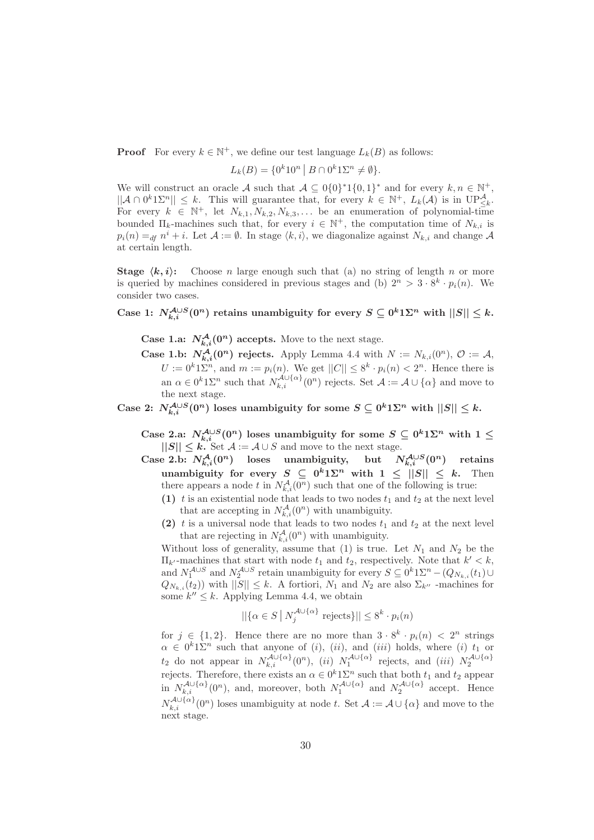**Proof** For every  $k \in \mathbb{N}^+$ , we define our test language  $L_k(B)$  as follows:

$$
L_k(B) = \{0^k 10^n \mid B \cap 0^k 1\Sigma^n \neq \emptyset\}.
$$

We will construct an oracle A such that  $A \subseteq O\{0\}^*1\{0,1\}^*$  and for every  $k, n \in \mathbb{N}^+$ ,  $||\mathcal{A} \cap 0^k 1\Sigma^n|| \leq k$ . This will guarantee that, for every  $k \in \mathbb{N}^+$ ,  $L_k(\mathcal{A})$  is in  $\mathbb{UP}^{\mathcal{A}}_{\leq k}$ . For every  $k \in \mathbb{N}^+$ , let  $N_{k,1}, N_{k,2}, N_{k,3}, \ldots$  be an enumeration of polynomial-time bounded  $\Pi_k$ -machines such that, for every  $i \in \mathbb{N}^+$ , the computation time of  $N_{k,i}$  is  $p_i(n) =_{df} n^i + i.$  Let  $\mathcal{A} := \emptyset$ . In stage  $\langle k, i \rangle$ , we diagonalize against  $N_{k,i}$  and change  $\mathcal{A}$ at certain length.

**Stage**  $\langle k, i \rangle$ : Choose *n* large enough such that (a) no string of length *n* or more is queried by machines considered in previous stages and (b)  $2^n > 3 \cdot 8^k \cdot p_i(n)$ . We consider two cases.

Case 1:  $N_{k,i}^{\mathcal{A}\cup S}(0^n)$  retains unambiguity for every  $S\subseteq 0^k1\Sigma^n$  with  $||S||\leq k$ .

**Case 1.a:**  $N_{k,i}^{\mathcal{A}}(0^n)$  accepts. Move to the next stage.

**Case 1.b:**  $N_{k,i}^{\mathcal{A}}(0^n)$  rejects. Apply Lemma 4.4 with  $N := N_{k,i}(0^n)$ ,  $\mathcal{O} := \mathcal{A}$ ,  $U := 0^k 1 \Sigma^n$ , and  $m := p_i(n)$ . We get  $||C|| \leq 8^k \cdot p_i(n) < 2^n$ . Hence there is an  $\alpha \in 0^k 1 \Sigma^n$  such that  $N_{k,i}^{\mathcal{A} \cup \{\alpha\}}(0^n)$  rejects. Set  $\mathcal{A} := \mathcal{A} \cup \{\alpha\}$  and move to the next stage.

Case 2:  $N_{k,i}^{\mathcal{A}\cup S}(0^n)$  loses unambiguity for some  $S\subseteq 0^k1\Sigma^n$  with  $||S||\leq k$ .

- Case 2.a:  $N_{k,i}^{\mathcal{A}\cup S}(0^n)$  loses unambiguity for some  $S \subseteq 0^k1\Sigma^n$  with  $1 \leq$  $||S|| \leq k$ . Set  $A := A \cup S$  and move to the next stage.<br>
e 2.b:  $N_{k,i}^A(0^n)$  loses unambiguity, but N
- Case 2.b:  $N_{k,i}^{\mathcal{A}}(0^n)$  loses unambiguity, but  $N_{k,i}^{\mathcal{A}\cup S}$  $N_{k,i}^{\mathcal{A}\cup S}(0^n)$  retains unambiguity for every  $S \subseteq 0^k1\Sigma^n$  with  $1 \leq ||S|| \leq k$ . Then there appears a node t in  $N_{k,i}^{\mathcal{A}}(0^n)$  such that one of the following is true:
	- (1) t is an existential node that leads to two nodes  $t_1$  and  $t_2$  at the next level that are accepting in  $N_{k,i}^{\mathcal{A}}(0^n)$  with unambiguity.
	- (2) t is a universal node that leads to two nodes  $t_1$  and  $t_2$  at the next level that are rejecting in  $N_{k,i}^{\mathcal{A}}(0^n)$  with unambiguity.

Without loss of generality, assume that  $(1)$  is true. Let  $N_1$  and  $N_2$  be the  $\Pi_{k'}$ -machines that start with node  $t_1$  and  $t_2$ , respectively. Note that  $k' < k$ , and  $N_1^{A\cup S}$  and  $N_2^{A\cup S}$  retain unambiguity for every  $S \subseteq 0^k 1\Sigma^n - (Q_{N_{k,i}}(t_1) \cup$  $Q_{N_{k,i}}(t_2)$  with  $||S|| \leq k$ . A fortiori,  $N_1$  and  $N_2$  are also  $\Sigma_{k''}$  -machines for some  $k'' \leq k$ . Applying Lemma 4.4, we obtain

$$
||\{\alpha \in S \mid N_j^{\mathcal{A} \cup \{\alpha\}} \text{ rejects}\}|| \leq 8^k \cdot p_i(n)
$$

for  $j \in \{1,2\}$ . Hence there are no more than  $3 \cdot 8^k \cdot p_i(n) < 2^n$  strings  $\alpha \in 0^k 1 \Sigma^n$  such that anyone of (i), (ii), and (iii) holds, where (i)  $t_1$  or  $t_2$  do not appear in  $N_{k,i}^{\mathcal{A}\cup\{\alpha\}}(0^n)$ , (ii)  $N_1^{\mathcal{A}\cup\{\alpha\}}$  rejects, and (iii)  $N_2^{\mathcal{A}\cup\{\alpha\}}$ rejects. Therefore, there exists an  $\alpha \in 0^k 1\Sigma^n$  such that both  $t_1$  and  $t_2$  appear in  $N_{k,i}^{\mathcal{A}\cup\{\alpha\}}(0^n)$ , and, moreover, both  $N_1^{\mathcal{A}\cup\{\alpha\}}$  and  $N_2^{\mathcal{A}\cup\{\alpha\}}$  accept. Hence  $N_{k,i}^{\mathcal{A}\cup\{\alpha\}}(0^n)$  loses unambiguity at node t. Set  $\mathcal{A}:=\mathcal{A}\cup\{\alpha\}$  and move to the next stage.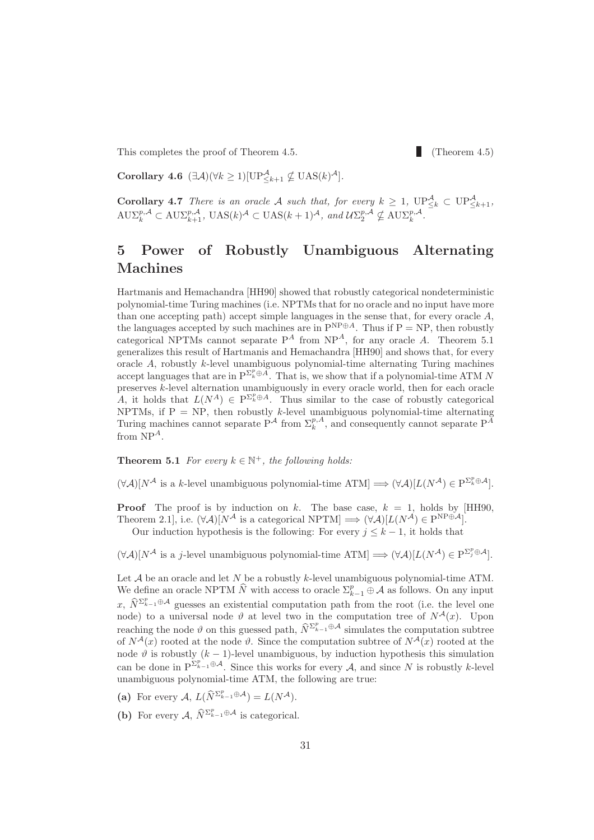This completes the proof of Theorem 4.5. (Theorem 4.5)

Corollary 4.6  $(\exists \mathcal{A})(\forall k \geq 1)[\text{UP}_{\leq k+1}^{\mathcal{A}} \nsubseteq \text{UAS}(k)^{\mathcal{A}}].$ 

**Corollary 4.7** There is an oracle A such that, for every  $k \geq 1$ ,  $\mathbb{UP}_{\leq k}^{\mathcal{A}} \subset \mathbb{UP}_{\leq k+1}^{\mathcal{A}}$ ,  $\text{A}\text{U}\Sigma_k^{p,\mathcal{A}} \subset \text{A}\text{U}\Sigma_{k+1}^{p,\mathcal{A}}, \ \text{U}\text{AS}(k)^{\mathcal{A}} \subset \text{U}\text{AS}(k+1)^{\mathcal{A}}, \ \text{and}\ \mathcal{U}\Sigma_2^{p,\mathcal{A}} \nsubseteq \text{A}\text{U}\Sigma_k^{p,\mathcal{A}}.$ 

## 5 Power of Robustly Unambiguous Alternating Machines

Hartmanis and Hemachandra [HH90] showed that robustly categorical nondeterministic polynomial-time Turing machines (i.e. NPTMs that for no oracle and no input have more than one accepting path) accept simple languages in the sense that, for every oracle  $A$ , the languages accepted by such machines are in  $P^{NP\oplus A}$ . Thus if  $P = NP$ , then robustly categorical NPTMs cannot separate  $P^A$  from NP<sup>A</sup>, for any oracle A. Theorem 5.1 generalizes this result of Hartmanis and Hemachandra [HH90] and shows that, for every oracle A, robustly k-level unambiguous polynomial-time alternating Turing machines accept languages that are in  $P^{\Sigma_k^p \oplus A}$ . That is, we show that if a polynomial-time ATM N preserves k-level alternation unambiguously in every oracle world, then for each oracle A, it holds that  $L(N^A) \in P^{\Sigma_k^p \oplus A}$ . Thus similar to the case of robustly categorical NPTMs, if  $P = NP$ , then robustly k-level unambiguous polynomial-time alternating Turing machines cannot separate  $P^{\mathcal{A}}$  from  $\Sigma_k^{p,A}$ , and consequently cannot separate  $P^{\tilde{A}}$ from  $NP<sup>A</sup>$ .

**Theorem 5.1** For every  $k \in \mathbb{N}^+$ , the following holds:

 $(\forall \mathcal{A})[N^{\mathcal{A}}]$  is a k-level unambiguous polynomial-time  $ATM] \Longrightarrow (\forall \mathcal{A})[L(N^{\mathcal{A}})] \in \mathcal{P}^{\Sigma_{k}^{p}\oplus\mathcal{A}}]$ .

**Proof** The proof is by induction on k. The base case,  $k = 1$ , holds by [HH90, Theorem 2.1], i.e.  $(\forall \mathcal{A})[N^{\mathcal{A}}]$  is a categorical NPTM]  $\Longrightarrow (\forall \mathcal{A})[L(N^{\mathcal{A}}) \in P^{NP \oplus \mathcal{A}}]$ .

Our induction hypothesis is the following: For every  $j \leq k - 1$ , it holds that

 $(\forall \mathcal{A})[N^{\mathcal{A}}]$  is a j-level unambiguous polynomial-time  $ATM] \Longrightarrow (\forall \mathcal{A})[L(N^{\mathcal{A}})] \in \mathcal{P}^{\Sigma_{j}^{p}\oplus \mathcal{A}}]$ .

Let  $A$  be an oracle and let  $N$  be a robustly k-level unambiguous polynomial-time ATM. We define an oracle NPTM  $\widehat{N}$  with access to oracle  $\sum_{k=1}^{p} \oplus \mathcal{A}$  as follows. On any input x,  $\widehat{N}^{\Sigma_{k-1}^p \oplus \mathcal{A}}$  guesses an existential computation path from the root (i.e. the level one node) to a universal node  $\vartheta$  at level two in the computation tree of  $N^{\mathcal{A}}(x)$ . Upon reaching the node  $\vartheta$  on this guessed path,  $\widehat{N}^{\sum_{k=1}^{p} \oplus A}$  simulates the computation subtree of  $N^{\mathcal{A}}(x)$  rooted at the node  $\vartheta$ . Since the computation subtree of  $N^{\mathcal{A}}(x)$  rooted at the node  $\vartheta$  is robustly  $(k-1)$ -level unambiguous, by induction hypothesis this simulation can be done in  $P^{\Sigma_{k-1}^p \oplus \mathcal{A}}$ . Since this works for every  $\mathcal{A}$ , and since N is robustly k-level unambiguous polynomial-time ATM, the following are true:

- (a) For every  $A, L(\widehat{N}^{\Sigma_{k-1}^p \oplus A}) = L(N^{\mathcal{A}}).$
- (b) For every  $\mathcal{A}, \widehat{N}^{\Sigma_{k-1}^p \oplus \mathcal{A}}$  is categorical.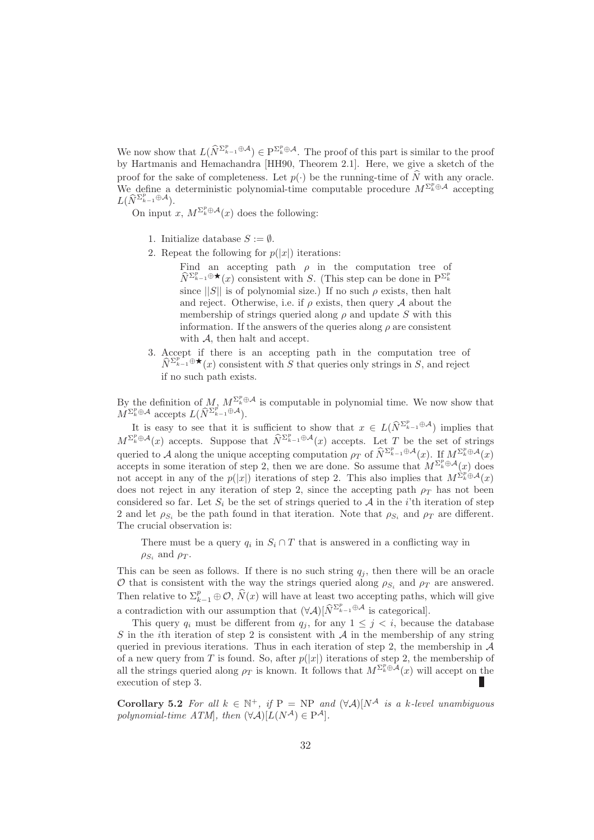We now show that  $L(\widehat{N}^{\Sigma_{k-1}^p \oplus A}) \in \mathbb{P}^{\Sigma_k^p \oplus A}$ . The proof of this part is similar to the proof by Hartmanis and Hemachandra [HH90, Theorem 2.1]. Here, we give a sketch of the proof for the sake of completeness. Let  $p(\cdot)$  be the running-time of  $\widehat{N}$  with any oracle. We define a deterministic polynomial-time computable procedure  $M^{\Sigma_k^p \oplus A}$  accepting  $L(\widehat{N}_{k-1}^{\Sigma_{k-1}^p\oplus\mathcal{A}}).$ 

On input x,  $M^{\Sigma_k^p \oplus \mathcal{A}}(x)$  does the following:

- 1. Initialize database  $S := \emptyset$ .
- 2. Repeat the following for  $p(|x|)$  iterations:

Find an accepting path  $\rho$  in the computation tree of  $\widehat{N}^{\Sigma_{k-1}^p \oplus \bigstar}(x)$  consistent with S. (This step can be done in  $P^{\Sigma_k^p}$ since  $||S||$  is of polynomial size.) If no such  $\rho$  exists, then halt and reject. Otherwise, i.e. if  $\rho$  exists, then query A about the membership of strings queried along  $\rho$  and update S with this information. If the answers of the queries along  $\rho$  are consistent with A, then halt and accept.

3. Accept if there is an accepting path in the computation tree of  $\widehat{N}^{\sum_{k=1}^{p-1} \oplus \bigstar}(x)$  consistent with S that queries only strings in S, and reject if no such path exists.

By the definition of  $M$ ,  $M^{\Sigma_k^p \oplus A}$  is computable in polynomial time. We now show that  $\check{M}^{\Sigma_k^p \oplus \mathcal{A}}$  accepts  $L(\widehat{N}^{\Sigma_{k-1}^p \oplus \mathcal{A}}).$ 

It is easy to see that it is sufficient to show that  $x \in L(\widehat{N}^{\Sigma_{k-1}^p \oplus A})$  implies that  $M^{\Sigma_k^p \oplus \mathcal{A}}(x)$  accepts. Suppose that  $\widehat{N}^{\Sigma_{k-1}^p \oplus \mathcal{A}}(x)$  accepts. Let T be the set of strings queried to A along the unique accepting computation  $\rho_T$  of  $\widehat{N}^{\Sigma_{k-1}^p \oplus \mathcal{A}}(x)$ . If  $M^{\Sigma_k^p \oplus \mathcal{A}}(x)$ accepts in some iteration of step 2, then we are done. So assume that  $M^{\Sigma_k^p \oplus A}(x)$  does not accept in any of the  $p(|x|)$  iterations of step 2. This also implies that  $M^{\Sigma_k^p \oplus A}(x)$ does not reject in any iteration of step 2, since the accepting path  $\rho_T$  has not been considered so far. Let  $S_i$  be the set of strings queried to A in the *i*'th iteration of step 2 and let  $\rho_{S_i}$  be the path found in that iteration. Note that  $\rho_{S_i}$  and  $\rho_T$  are different. The crucial observation is:

There must be a query  $q_i$  in  $S_i \cap T$  that is answered in a conflicting way in  $\rho_{S_i}$  and  $\rho_T$ .

This can be seen as follows. If there is no such string  $q_j$ , then there will be an oracle O that is consistent with the way the strings queried along  $\rho_{S_i}$  and  $\rho_T$  are answered. Then relative to  $\Sigma_{k-1}^p \oplus \mathcal{O}, \widehat{N}(x)$  will have at least two accepting paths, which will give a contradiction with our assumption that  $(\forall \mathcal{A})[\widehat{N}^{\Sigma_{k-1}^p \oplus \mathcal{A}}]$  is categorical.

This query  $q_i$  must be different from  $q_j$ , for any  $1 \leq j \leq i$ , because the database S in the *i*th iteration of step 2 is consistent with  $\mathcal A$  in the membership of any string queried in previous iterations. Thus in each iteration of step 2, the membership in  $\mathcal A$ of a new query from T is found. So, after  $p(|x|)$  iterations of step 2, the membership of all the strings queried along  $\rho_T$  is known. It follows that  $M^{\Sigma_k^p \oplus A}(x)$  will accept on the execution of step 3.

Corollary 5.2 For all  $k \in \mathbb{N}^+$ , if  $P = NP$  and  $(\forall \mathcal{A})[N^{\mathcal{A}}]$  is a k-level unambiguous polynomial-time  $ATM$ , then  $(\forall \mathcal{A})[L(N^{\mathcal{A}}) \in P^{\mathcal{A}}]$ .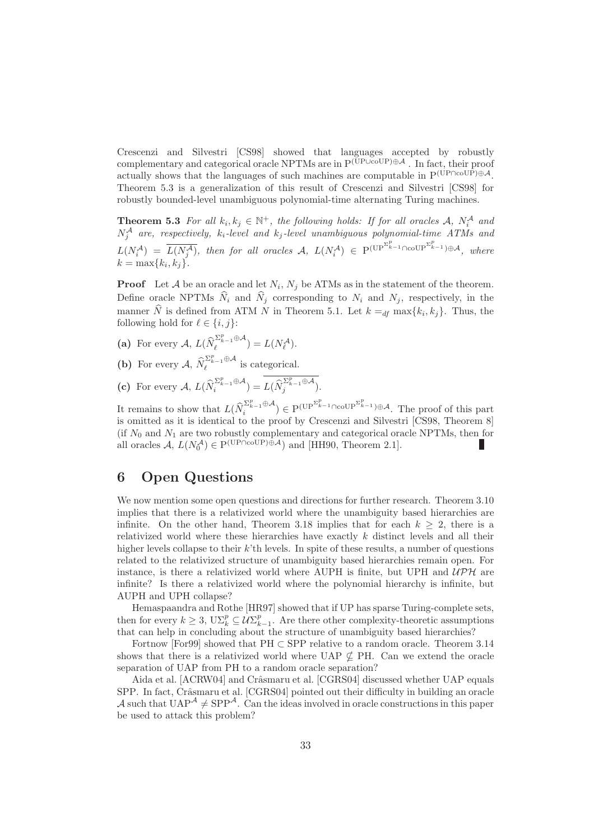Crescenzi and Silvestri [CS98] showed that languages accepted by robustly complementary and categorical oracle NPTMs are in P(UP∪coUP)⊕A . In fact, their proof actually shows that the languages of such machines are computable in  $P^{(\dot{UP} \cap col\dot{P})\oplus A}$ . Theorem 5.3 is a generalization of this result of Crescenzi and Silvestri [CS98] for robustly bounded-level unambiguous polynomial-time alternating Turing machines.

**Theorem 5.3** For all  $k_i, k_j \in \mathbb{N}^+$ , the following holds: If for all oracles A,  $N_i^{\mathcal{A}}$  and  $N^{\mathcal{A}}_j$  are, respectively,  $k_i$ -level and  $k_j$ -level unambiguous polynomial-time ATMs and  $L(N_i^{\mathcal{A}}) = \overline{L(N_j^{\mathcal{A}})}$ , then for all oracles  $\mathcal{A}, L(N_i^{\mathcal{A}}) \in \mathrm{P}^{(\mathrm{UP}^{\Sigma_{k-1}^p} \cap \mathrm{coUP}^{\Sigma_{k-1}^p}) \oplus \mathcal{A}},$  where  $k = \max\{k_i, k_j\}.$ 

**Proof** Let A be an oracle and let  $N_i$ ,  $N_j$  be ATMs as in the statement of the theorem. Define oracle NPTMs  $\widehat{N}_i$  and  $\widehat{N}_j$  corresponding to  $N_i$  and  $N_j$ , respectively, in the manner N is defined from ATM N in Theorem 5.1. Let  $k =_{df} \max\{k_i, k_j\}$ . Thus, the following hold for  $\ell \in \{i, j\}$ :

- (a) For every  $A, L(\widehat{N}_{\ell}^{\Sigma_{k-1}^p \oplus A}) = L(N_{\ell}^A).$
- (b) For every  $\mathcal{A}, \, \widehat{N}_{\ell}^{\Sigma_{k-1}^p \oplus \mathcal{A}}$  is categorical.
- (c) For every  $A, L(\widehat{N}_i^{\Sigma_{k-1}^p \oplus A}) = \overline{L(\widehat{N}_j^{\Sigma_{k-1}^p \oplus A})}.$

It remains to show that  $L(\widehat{N}_i^{\Sigma_{k-1}^p \oplus \mathcal{A}}) \in \mathrm{P}^{(\mathrm{UP}^{\Sigma_{k-1}^p} \cap \mathrm{coUP}^{\Sigma_{k-1}^p}) \oplus \mathcal{A}}$ . The proof of this part is omitted as it is identical to the proof by Crescenzi and Silvestri [CS98, Theorem 8] (if  $N_0$  and  $N_1$  are two robustly complementary and categorical oracle NPTMs, then for all oracles  $A, L(N_0^A) \in P^{(\text{UP} \cap \text{coUP}) \oplus A}$  and [HH90, Theorem 2.1]. П

## 6 Open Questions

We now mention some open questions and directions for further research. Theorem 3.10 implies that there is a relativized world where the unambiguity based hierarchies are infinite. On the other hand, Theorem 3.18 implies that for each  $k \geq 2$ , there is a relativized world where these hierarchies have exactly k distinct levels and all their higher levels collapse to their  $k$ 'th levels. In spite of these results, a number of questions related to the relativized structure of unambiguity based hierarchies remain open. For instance, is there a relativized world where AUPH is finite, but UPH and  $U\mathcal{P}\mathcal{H}$  are infinite? Is there a relativized world where the polynomial hierarchy is infinite, but AUPH and UPH collapse?

Hemaspaandra and Rothe [HR97] showed that if UP has sparse Turing-complete sets, then for every  $k \geq 3$ ,  $U\Sigma_k^p \subseteq \mathcal{U}\Sigma_{k-1}^p$ . Are there other complexity-theoretic assumptions that can help in concluding about the structure of unambiguity based hierarchies?

Fortnow [For99] showed that  $PH \subset SPP$  relative to a random oracle. Theorem 3.14 shows that there is a relativized world where UAP  $\nsubseteq$  PH. Can we extend the oracle separation of UAP from PH to a random oracle separation?

Aida et al. [ACRW04] and Crâsmaru et al. [CGRS04] discussed whether UAP equals SPP. In fact, Crâsmaru et al. [CGRS04] pointed out their difficulty in building an oracle A such that  $UAP^{\mathcal{A}} \neq$  SPP<sup>A</sup>. Can the ideas involved in oracle constructions in this paper be used to attack this problem?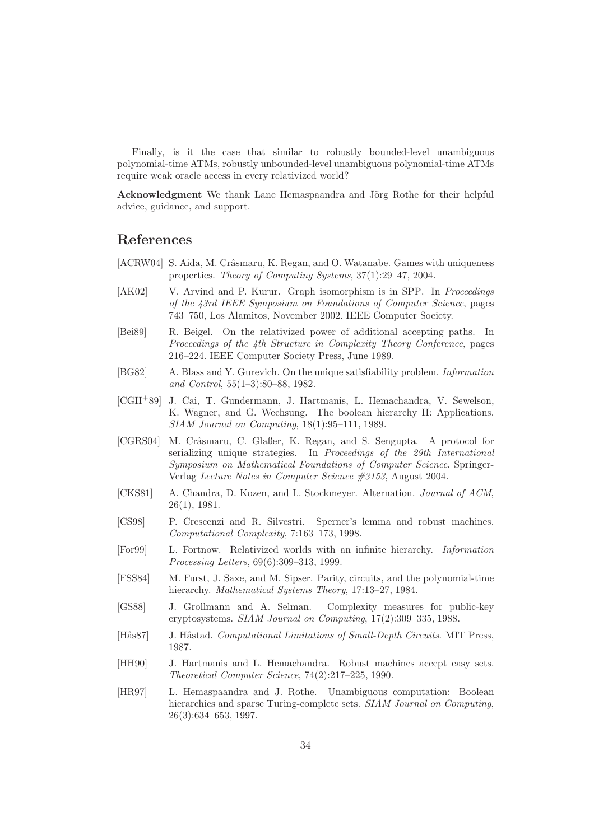Finally, is it the case that similar to robustly bounded-level unambiguous polynomial-time ATMs, robustly unbounded-level unambiguous polynomial-time ATMs require weak oracle access in every relativized world?

Acknowledgment We thank Lane Hemaspaandra and Jörg Rothe for their helpful advice, guidance, and support.

### References

- [ACRW04] S. Aida, M. Crâsmaru, K. Regan, and O. Watanabe. Games with uniqueness properties. Theory of Computing Systems, 37(1):29–47, 2004.
- [AK02] V. Arvind and P. Kurur. Graph isomorphism is in SPP. In *Proceedings* of the 43rd IEEE Symposium on Foundations of Computer Science, pages 743–750, Los Alamitos, November 2002. IEEE Computer Society.
- [Bei89] R. Beigel. On the relativized power of additional accepting paths. In Proceedings of the 4th Structure in Complexity Theory Conference, pages 216–224. IEEE Computer Society Press, June 1989.
- [BG82] A. Blass and Y. Gurevich. On the unique satisfiability problem. Information and Control, 55(1–3):80–88, 1982.
- [CGH<sup>+</sup>89] J. Cai, T. Gundermann, J. Hartmanis, L. Hemachandra, V. Sewelson, K. Wagner, and G. Wechsung. The boolean hierarchy II: Applications. SIAM Journal on Computing, 18(1):95–111, 1989.
- [CGRS04] M. Crâsmaru, C. Glaßer, K. Regan, and S. Sengupta. A protocol for serializing unique strategies. In Proceedings of the 29th International Symposium on Mathematical Foundations of Computer Science. Springer-Verlag Lecture Notes in Computer Science #3153, August 2004.
- [CKS81] A. Chandra, D. Kozen, and L. Stockmeyer. Alternation. Journal of ACM, 26(1), 1981.
- [CS98] P. Crescenzi and R. Silvestri. Sperner's lemma and robust machines. Computational Complexity, 7:163–173, 1998.
- [For99] L. Fortnow. Relativized worlds with an infinite hierarchy. Information Processing Letters, 69(6):309–313, 1999.
- [FSS84] M. Furst, J. Saxe, and M. Sipser. Parity, circuits, and the polynomial-time hierarchy. Mathematical Systems Theory, 17:13-27, 1984.
- [GS88] J. Grollmann and A. Selman. Complexity measures for public-key cryptosystems. SIAM Journal on Computing, 17(2):309–335, 1988.
- [Hås87] J. Håstad. Computational Limitations of Small-Depth Circuits. MIT Press, 1987.
- [HH90] J. Hartmanis and L. Hemachandra. Robust machines accept easy sets. Theoretical Computer Science, 74(2):217–225, 1990.
- [HR97] L. Hemaspaandra and J. Rothe. Unambiguous computation: Boolean hierarchies and sparse Turing-complete sets. SIAM Journal on Computing, 26(3):634–653, 1997.